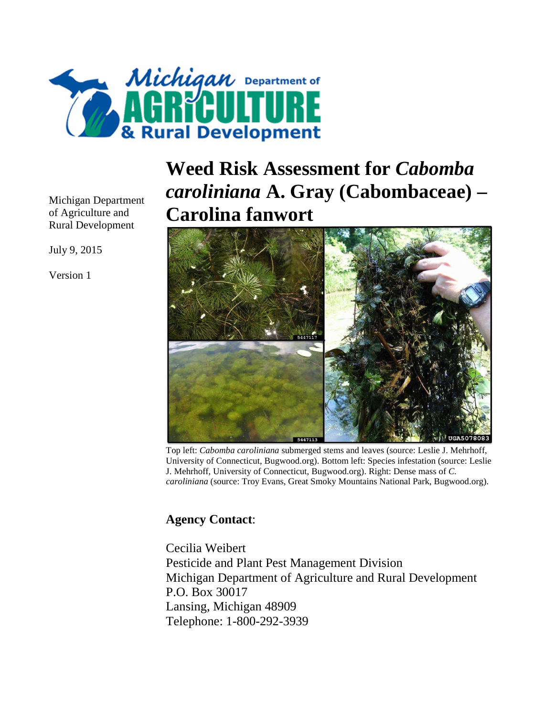

Michigan Department of Agriculture and Rural Development

July 9, 2015

Version 1

## **Weed Risk Assessment for** *Cabomba caroliniana* **A. Gray (Cabombaceae) – Carolina fanwort**



Top left: *Cabomba caroliniana* submerged stems and leaves (source: Leslie J. Mehrhoff, University of Connecticut, Bugwood.org). Bottom left: Species infestation (source: Leslie J. Mehrhoff, University of Connecticut, Bugwood.org). Right: Dense mass of *C. caroliniana* (source: Troy Evans, Great Smoky Mountains National Park, Bugwood.org).

## **Agency Contact**:

Cecilia Weibert Pesticide and Plant Pest Management Division Michigan Department of Agriculture and Rural Development P.O. Box 30017 Lansing, Michigan 48909 Telephone: 1-800-292-3939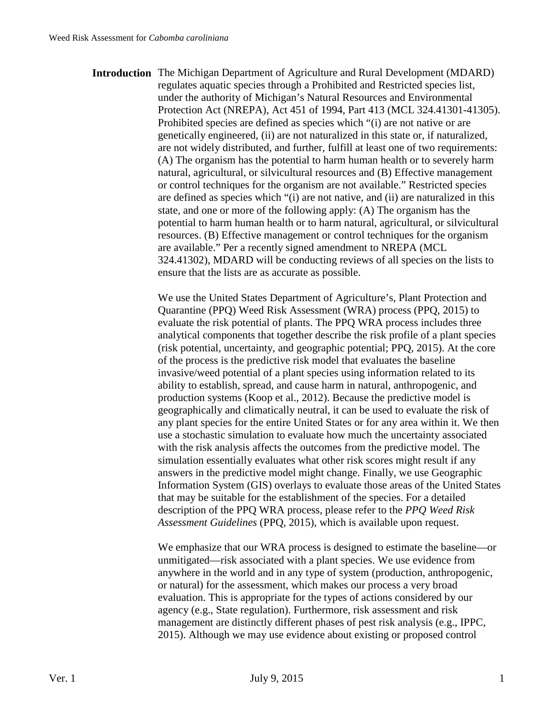**Introduction** The Michigan Department of Agriculture and Rural Development (MDARD) regulates aquatic species through a Prohibited and Restricted species list, under the authority of Michigan's Natural Resources and Environmental Protection Act (NREPA), Act 451 of 1994, Part 413 (MCL 324.41301-41305). Prohibited species are defined as species which "(i) are not native or are genetically engineered, (ii) are not naturalized in this state or, if naturalized, are not widely distributed, and further, fulfill at least one of two requirements: (A) The organism has the potential to harm human health or to severely harm natural, agricultural, or silvicultural resources and (B) Effective management or control techniques for the organism are not available." Restricted species are defined as species which "(i) are not native, and (ii) are naturalized in this state, and one or more of the following apply: (A) The organism has the potential to harm human health or to harm natural, agricultural, or silvicultural resources. (B) Effective management or control techniques for the organism are available." Per a recently signed amendment to NREPA (MCL 324.41302), MDARD will be conducting reviews of all species on the lists to ensure that the lists are as accurate as possible.

> We use the United States Department of Agriculture's, Plant Protection and Quarantine (PPQ) Weed Risk Assessment (WRA) process (PPQ, 2015) to evaluate the risk potential of plants. The PPQ WRA process includes three analytical components that together describe the risk profile of a plant species (risk potential, uncertainty, and geographic potential; PPQ, 2015). At the core of the process is the predictive risk model that evaluates the baseline invasive/weed potential of a plant species using information related to its ability to establish, spread, and cause harm in natural, anthropogenic, and production systems (Koop et al., 2012). Because the predictive model is geographically and climatically neutral, it can be used to evaluate the risk of any plant species for the entire United States or for any area within it. We then use a stochastic simulation to evaluate how much the uncertainty associated with the risk analysis affects the outcomes from the predictive model. The simulation essentially evaluates what other risk scores might result if any answers in the predictive model might change. Finally, we use Geographic Information System (GIS) overlays to evaluate those areas of the United States that may be suitable for the establishment of the species. For a detailed description of the PPQ WRA process, please refer to the *PPQ Weed Risk Assessment Guidelines* (PPQ, 2015), which is available upon request.

We emphasize that our WRA process is designed to estimate the baseline—or unmitigated—risk associated with a plant species. We use evidence from anywhere in the world and in any type of system (production, anthropogenic, or natural) for the assessment, which makes our process a very broad evaluation. This is appropriate for the types of actions considered by our agency (e.g., State regulation). Furthermore, risk assessment and risk management are distinctly different phases of pest risk analysis (e.g., IPPC, 2015). Although we may use evidence about existing or proposed control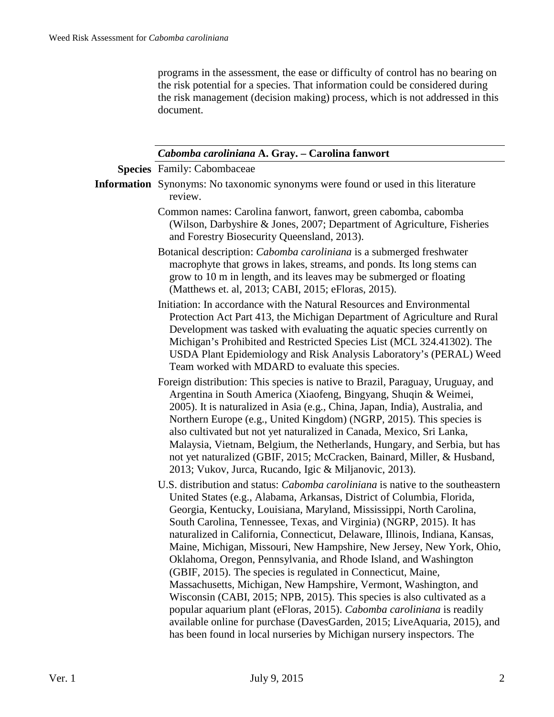programs in the assessment, the ease or difficulty of control has no bearing on the risk potential for a species. That information could be considered during the risk management (decision making) process, which is not addressed in this document.

| Cabomba caroliniana A. Gray. – Carolina fanwort |
|-------------------------------------------------|
|-------------------------------------------------|

|  | <b>Species</b> Family: Cabombaceae |
|--|------------------------------------|
|--|------------------------------------|

- **Information** Synonyms: No taxonomic synonyms were found or used in this literature review.
	- Common names: Carolina fanwort, fanwort, green cabomba, cabomba (Wilson, Darbyshire & Jones, 2007; Department of Agriculture, Fisheries and Forestry Biosecurity Queensland, 2013).
	- Botanical description: *Cabomba caroliniana* is a submerged freshwater macrophyte that grows in lakes, streams, and ponds. Its long stems can grow to 10 m in length, and its leaves may be submerged or floating (Matthews et. al, 2013; CABI, 2015; eFloras, 2015).
	- Initiation: In accordance with the Natural Resources and Environmental Protection Act Part 413, the Michigan Department of Agriculture and Rural Development was tasked with evaluating the aquatic species currently on Michigan's Prohibited and Restricted Species List (MCL 324.41302). The USDA Plant Epidemiology and Risk Analysis Laboratory's (PERAL) Weed Team worked with MDARD to evaluate this species.
	- Foreign distribution: This species is native to Brazil, Paraguay, Uruguay, and Argentina in South America (Xiaofeng, Bingyang, Shuqin & Weimei, 2005). It is naturalized in Asia (e.g., China, Japan, India), Australia, and Northern Europe (e.g., United Kingdom) (NGRP, 2015). This species is also cultivated but not yet naturalized in Canada, Mexico, Sri Lanka, Malaysia, Vietnam, Belgium, the Netherlands, Hungary, and Serbia, but has not yet naturalized (GBIF, 2015; McCracken, Bainard, Miller, & Husband, 2013; Vukov, Jurca, Rucando, Igic & Miljanovic, 2013).
	- U.S. distribution and status: *Cabomba caroliniana* is native to the southeastern United States (e.g., Alabama, Arkansas, District of Columbia, Florida, Georgia, Kentucky, Louisiana, Maryland, Mississippi, North Carolina, South Carolina, Tennessee, Texas, and Virginia) (NGRP, 2015). It has naturalized in California, Connecticut, Delaware, Illinois, Indiana, Kansas, Maine, Michigan, Missouri, New Hampshire, New Jersey, New York, Ohio, Oklahoma, Oregon, Pennsylvania, and Rhode Island, and Washington (GBIF, 2015). The species is regulated in Connecticut, Maine, Massachusetts, Michigan, New Hampshire, Vermont, Washington, and Wisconsin (CABI, 2015; NPB, 2015). This species is also cultivated as a popular aquarium plant (eFloras, 2015). *Cabomba caroliniana* is readily available online for purchase (DavesGarden, 2015; LiveAquaria, 2015), and has been found in local nurseries by Michigan nursery inspectors. The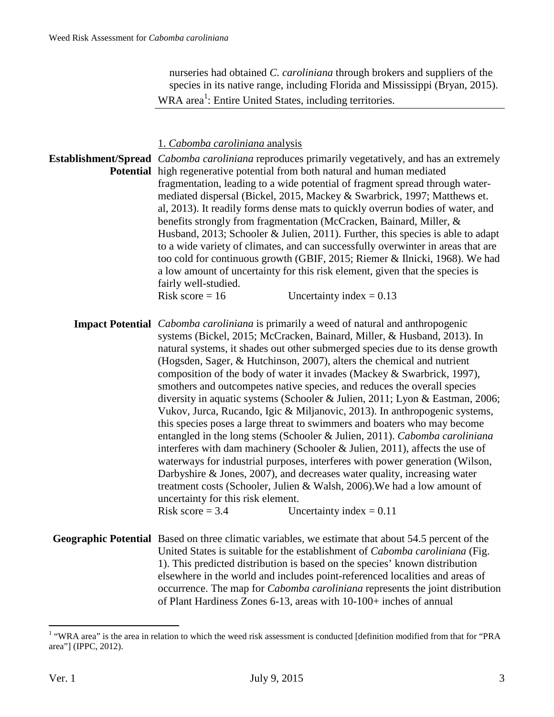nurseries had obtained *C. caroliniana* through brokers and suppliers of the species in its native range, including Florida and Mississippi (Bryan, 2015). WRA area<sup>1</sup>: Entire United States, including territories.

1. *Cabomba caroliniana* analysis

**Establishment/Spread**  *Cabomba caroliniana* reproduces primarily vegetatively, and has an extremely **Potential** high regenerative potential from both natural and human mediated fragmentation, leading to a wide potential of fragment spread through watermediated dispersal (Bickel, 2015, Mackey & Swarbrick, 1997; Matthews et. al, 2013). It readily forms dense mats to quickly overrun bodies of water, and benefits strongly from fragmentation (McCracken, Bainard, Miller, & Husband, 2013; Schooler & Julien, 2011). Further, this species is able to adapt to a wide variety of climates, and can successfully overwinter in areas that are too cold for continuous growth (GBIF, 2015; Riemer & Ilnicki, 1968). We had a low amount of uncertainty for this risk element, given that the species is fairly well-studied. Risk score =  $16$  Uncertainty index =  $0.13$ 

**Impact Potential** *Cabomba caroliniana* is primarily a weed of natural and anthropogenic systems (Bickel, 2015; McCracken, Bainard, Miller, & Husband, 2013). In natural systems, it shades out other submerged species due to its dense growth (Hogsden, Sager, & Hutchinson, 2007), alters the chemical and nutrient composition of the body of water it invades (Mackey & Swarbrick, 1997), smothers and outcompetes native species, and reduces the overall species diversity in aquatic systems (Schooler & Julien, 2011; Lyon & Eastman, 2006; Vukov, Jurca, Rucando, Igic & Miljanovic, 2013). In anthropogenic systems, this species poses a large threat to swimmers and boaters who may become entangled in the long stems (Schooler & Julien, 2011). *Cabomba caroliniana* interferes with dam machinery (Schooler & Julien, 2011), affects the use of waterways for industrial purposes, interferes with power generation (Wilson, Darbyshire & Jones, 2007), and decreases water quality, increasing water treatment costs (Schooler, Julien & Walsh, 2006).We had a low amount of uncertainty for this risk element. Risk score  $= 3.4$  Uncertainty index  $= 0.11$ 

**Geographic Potential** Based on three climatic variables, we estimate that about 54.5 percent of the United States is suitable for the establishment of *Cabomba caroliniana* (Fig. 1). This predicted distribution is based on the species' known distribution elsewhere in the world and includes point-referenced localities and areas of occurrence. The map for *Cabomba caroliniana* represents the joint distribution of Plant Hardiness Zones 6-13, areas with 10-100+ inches of annual

The area is the area in relation to which the weed risk assessment is conducted [definition modified from that for "PRA" area"] (IPPC, 2012).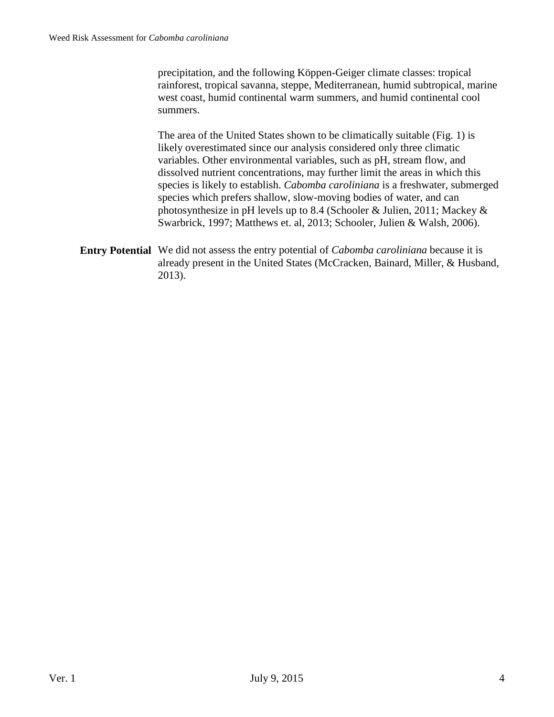precipitation, and the following Köppen-Geiger climate classes: tropical rainforest, tropical savanna, steppe, Mediterranean, humid subtropical, marine west coast, humid continental warm summers, and humid continental cool summers.

The area of the United States shown to be climatically suitable (Fig. 1) is likely overestimated since our analysis considered only three climatic variables. Other environmental variables, such as pH, stream flow, and dissolved nutrient concentrations, may further limit the areas in which this species is likely to establish. *Cabomba caroliniana* is a freshwater, submerged species which prefers shallow, slow-moving bodies of water, and can photosynthesize in pH levels up to 8.4 (Schooler & Julien, 2011; Mackey & Swarbrick, 1997; Matthews et. al, 2013; Schooler, Julien & Walsh, 2006).

**Entry Potential** We did not assess the entry potential of *Cabomba caroliniana* because it is already present in the United States (McCracken, Bainard, Miller, & Husband, 2013).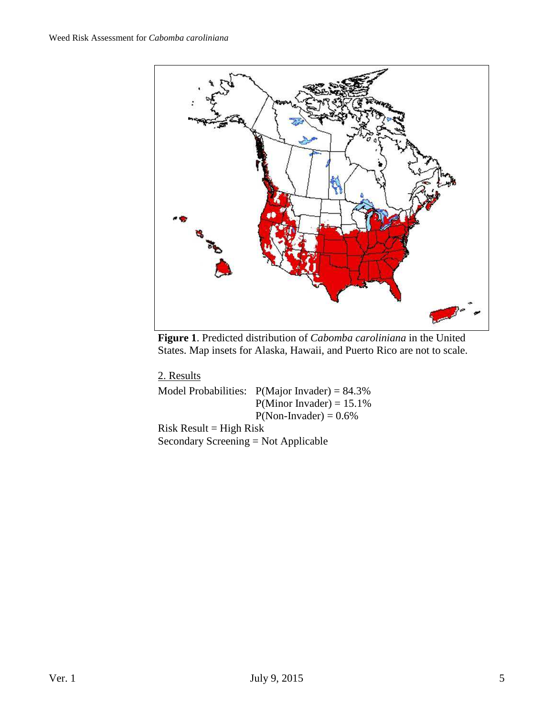

**Figure 1**. Predicted distribution of *Cabomba caroliniana* in the United States. Map insets for Alaska, Hawaii, and Puerto Rico are not to scale.

2. Results

|                                        | Model Probabilities: $P(Major Invader) = 84.3\%$ |  |  |  |  |
|----------------------------------------|--------------------------------------------------|--|--|--|--|
|                                        | $P(Minor Invader) = 15.1\%$                      |  |  |  |  |
|                                        | $P(Non- Invader) = 0.6\%$                        |  |  |  |  |
| $Risk Result = High Risk$              |                                                  |  |  |  |  |
| Secondary Screening $=$ Not Applicable |                                                  |  |  |  |  |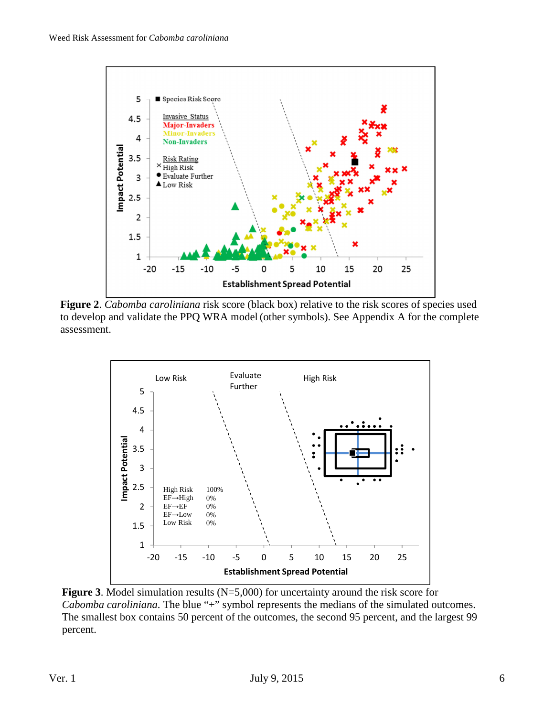

**Figure 2**. *Cabomba caroliniana* risk score (black box) relative to the risk scores of species used to develop and validate the PPQ WRA model (other symbols). See Appendix A for the complete assessment.



**Figure 3**. Model simulation results (N=5,000) for uncertainty around the risk score for *Cabomba caroliniana*. The blue "+" symbol represents the medians of the simulated outcomes. The smallest box contains 50 percent of the outcomes, the second 95 percent, and the largest 99 percent.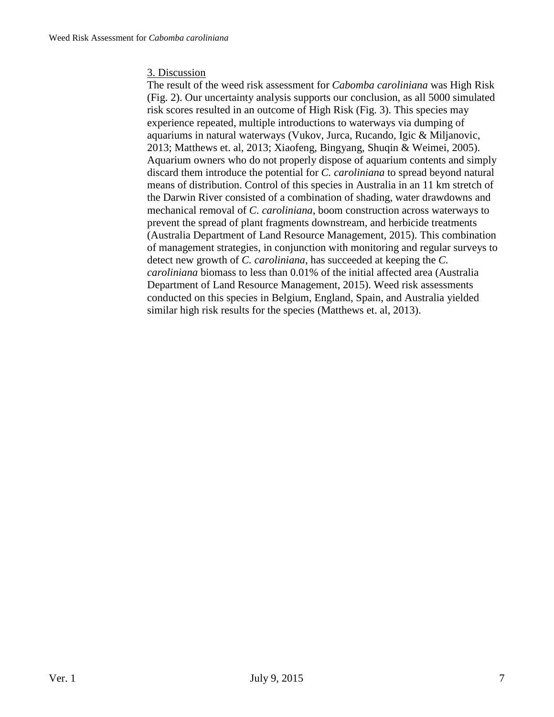## 3. Discussion

The result of the weed risk assessment for *Cabomba caroliniana* was High Risk (Fig. 2). Our uncertainty analysis supports our conclusion, as all 5000 simulated risk scores resulted in an outcome of High Risk (Fig. 3). This species may experience repeated, multiple introductions to waterways via dumping of aquariums in natural waterways (Vukov, Jurca, Rucando, Igic & Miljanovic, 2013; Matthews et. al, 2013; Xiaofeng, Bingyang, Shuqin & Weimei, 2005). Aquarium owners who do not properly dispose of aquarium contents and simply discard them introduce the potential for *C. caroliniana* to spread beyond natural means of distribution. Control of this species in Australia in an 11 km stretch of the Darwin River consisted of a combination of shading, water drawdowns and mechanical removal of *C. caroliniana*, boom construction across waterways to prevent the spread of plant fragments downstream, and herbicide treatments (Australia Department of Land Resource Management, 2015). This combination of management strategies, in conjunction with monitoring and regular surveys to detect new growth of *C. caroliniana*, has succeeded at keeping the *C. caroliniana* biomass to less than 0.01% of the initial affected area (Australia Department of Land Resource Management, 2015). Weed risk assessments conducted on this species in Belgium, England, Spain, and Australia yielded similar high risk results for the species (Matthews et. al, 2013).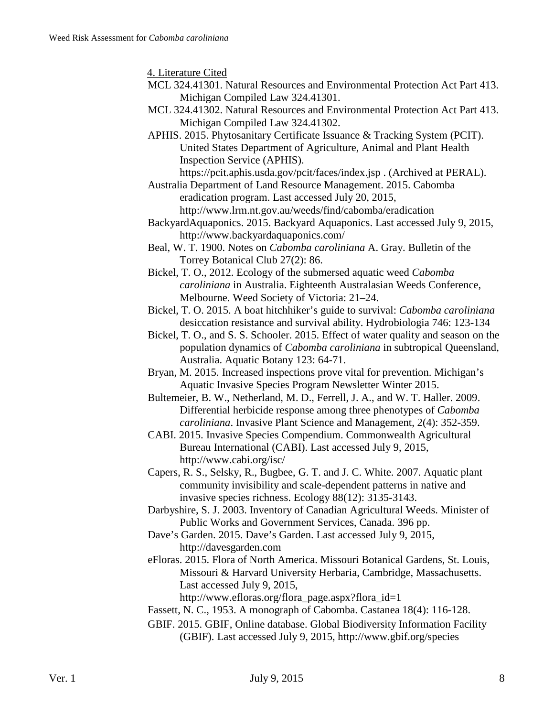4. Literature Cited

- MCL 324.41301. Natural Resources and Environmental Protection Act Part 413. Michigan Compiled Law 324.41301.
- MCL 324.41302. Natural Resources and Environmental Protection Act Part 413. Michigan Compiled Law 324.41302.
- APHIS. 2015. Phytosanitary Certificate Issuance & Tracking System (PCIT). United States Department of Agriculture, Animal and Plant Health Inspection Service (APHIS).

https://pcit.aphis.usda.gov/pcit/faces/index.jsp . (Archived at PERAL).

- Australia Department of Land Resource Management. 2015. Cabomba eradication program. Last accessed July 20, 2015, http://www.lrm.nt.gov.au/weeds/find/cabomba/eradication
- BackyardAquaponics. 2015. Backyard Aquaponics. Last accessed July 9, 2015, http://www.backyardaquaponics.com/
- Beal, W. T. 1900. Notes on *Cabomba caroliniana* A. Gray. Bulletin of the Torrey Botanical Club 27(2): 86.
- Bickel, T. O., 2012. Ecology of the submersed aquatic weed *Cabomba caroliniana* in Australia. Eighteenth Australasian Weeds Conference, Melbourne. Weed Society of Victoria: 21–24.
- Bickel, T. O. 2015. A boat hitchhiker's guide to survival: *Cabomba caroliniana*  desiccation resistance and survival ability. Hydrobiologia 746: 123-134
- Bickel, T. O., and S. S. Schooler. 2015. Effect of water quality and season on the population dynamics of *Cabomba caroliniana* in subtropical Queensland, Australia. Aquatic Botany 123: 64-71.
- Bryan, M. 2015. Increased inspections prove vital for prevention. Michigan's Aquatic Invasive Species Program Newsletter Winter 2015.
- Bultemeier, B. W., Netherland, M. D., Ferrell, J. A., and W. T. Haller. 2009. Differential herbicide response among three phenotypes of *Cabomba caroliniana*. Invasive Plant Science and Management, 2(4): 352-359.
- CABI. 2015. Invasive Species Compendium. Commonwealth Agricultural Bureau International (CABI). Last accessed July 9, 2015, http://www.cabi.org/isc/
- Capers, R. S., Selsky, R., Bugbee, G. T. and J. C. White. 2007. Aquatic plant community invisibility and scale-dependent patterns in native and invasive species richness. Ecology 88(12): 3135-3143.
- Darbyshire, S. J. 2003. Inventory of Canadian Agricultural Weeds. Minister of Public Works and Government Services, Canada. 396 pp.
- Dave's Garden. 2015. Dave's Garden. Last accessed July 9, 2015, http://davesgarden.com
- eFloras. 2015. Flora of North America. Missouri Botanical Gardens, St. Louis, Missouri & Harvard University Herbaria, Cambridge, Massachusetts. Last accessed July 9, 2015,

http://www.efloras.org/flora\_page.aspx?flora\_id=1

- Fassett, N. C., 1953. A monograph of Cabomba. Castanea 18(4): 116-128.
- GBIF. 2015. GBIF, Online database. Global Biodiversity Information Facility (GBIF). Last accessed July 9, 2015, http://www.gbif.org/species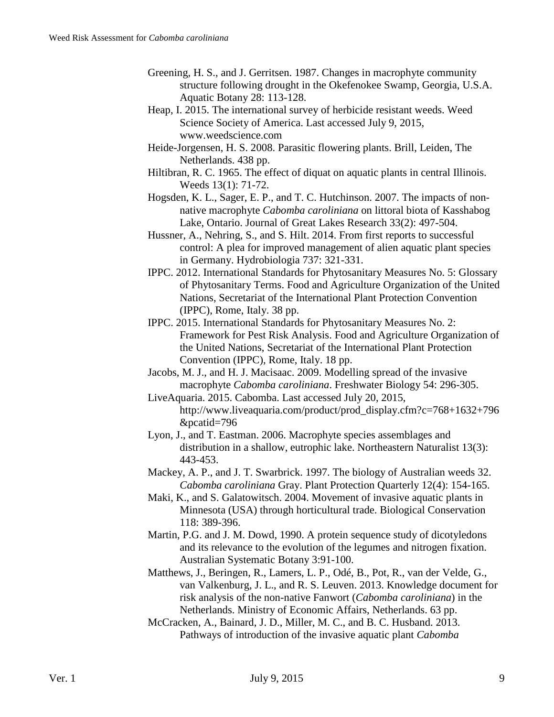- Greening, H. S., and J. Gerritsen. 1987. Changes in macrophyte community structure following drought in the Okefenokee Swamp, Georgia, U.S.A. Aquatic Botany 28: 113-128.
- Heap, I. 2015. The international survey of herbicide resistant weeds. Weed Science Society of America. Last accessed July 9, 2015, www.weedscience.com
- Heide-Jorgensen, H. S. 2008. Parasitic flowering plants. Brill, Leiden, The Netherlands. 438 pp.
- Hiltibran, R. C. 1965. The effect of diquat on aquatic plants in central Illinois. Weeds 13(1): 71-72.
- Hogsden, K. L., Sager, E. P., and T. C. Hutchinson. 2007. The impacts of nonnative macrophyte *Cabomba caroliniana* on littoral biota of Kasshabog Lake, Ontario. Journal of Great Lakes Research 33(2): 497-504.
- Hussner, A., Nehring, S., and S. Hilt. 2014. From first reports to successful control: A plea for improved management of alien aquatic plant species in Germany. Hydrobiologia 737: 321-331.
- IPPC. 2012. International Standards for Phytosanitary Measures No. 5: Glossary of Phytosanitary Terms. Food and Agriculture Organization of the United Nations, Secretariat of the International Plant Protection Convention (IPPC), Rome, Italy. 38 pp.
- IPPC. 2015. International Standards for Phytosanitary Measures No. 2: Framework for Pest Risk Analysis. Food and Agriculture Organization of the United Nations, Secretariat of the International Plant Protection Convention (IPPC), Rome, Italy. 18 pp.
- Jacobs, M. J., and H. J. Macisaac. 2009. Modelling spread of the invasive macrophyte *Cabomba caroliniana*. Freshwater Biology 54: 296-305.
- LiveAquaria. 2015. Cabomba. Last accessed July 20, 2015, http://www.liveaquaria.com/product/prod\_display.cfm?c=768+1632+796 &pcatid=796
- Lyon, J., and T. Eastman. 2006. Macrophyte species assemblages and distribution in a shallow, eutrophic lake. Northeastern Naturalist 13(3): 443-453.
- Mackey, A. P., and J. T. Swarbrick. 1997. The biology of Australian weeds 32. *Cabomba caroliniana* Gray. Plant Protection Quarterly 12(4): 154-165.
- Maki, K., and S. Galatowitsch. 2004. Movement of invasive aquatic plants in Minnesota (USA) through horticultural trade. Biological Conservation 118: 389-396.
- Martin, P.G. and J. M. Dowd, 1990. A protein sequence study of dicotyledons and its relevance to the evolution of the legumes and nitrogen fixation. Australian Systematic Botany 3:91-100.
- Matthews, J., Beringen, R., Lamers, L. P., Odé, B., Pot, R., van der Velde, G., van Valkenburg, J. L., and R. S. Leuven. 2013. Knowledge document for risk analysis of the non-native Fanwort (*Cabomba caroliniana*) in the Netherlands. Ministry of Economic Affairs, Netherlands. 63 pp.
- McCracken, A., Bainard, J. D., Miller, M. C., and B. C. Husband. 2013. Pathways of introduction of the invasive aquatic plant *Cabomba*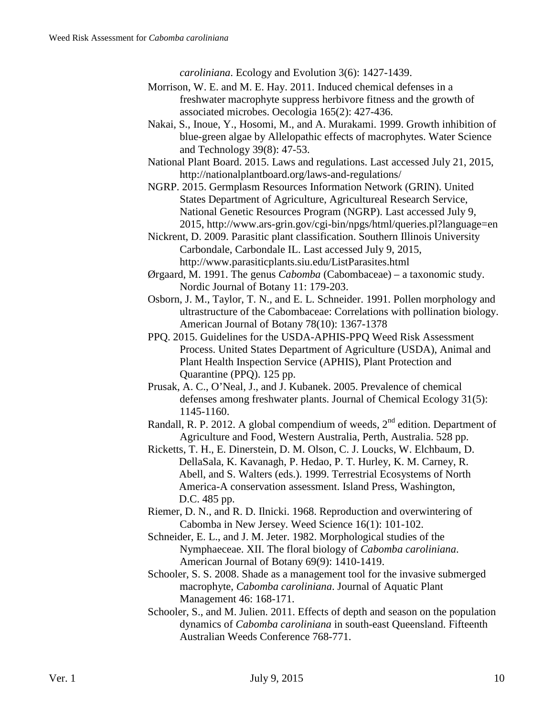*caroliniana*. Ecology and Evolution 3(6): 1427-1439.

- Morrison, W. E. and M. E. Hay. 2011. Induced chemical defenses in a freshwater macrophyte suppress herbivore fitness and the growth of associated microbes. Oecologia 165(2): 427-436.
- Nakai, S., Inoue, Y., Hosomi, M., and A. Murakami. 1999. Growth inhibition of blue-green algae by Allelopathic effects of macrophytes. Water Science and Technology 39(8): 47-53.
- National Plant Board. 2015. Laws and regulations. Last accessed July 21, 2015, http://nationalplantboard.org/laws-and-regulations/
- NGRP. 2015. Germplasm Resources Information Network (GRIN). United States Department of Agriculture, Agricultureal Research Service, National Genetic Resources Program (NGRP). Last accessed July 9, 2015, http://www.ars-grin.gov/cgi-bin/npgs/html/queries.pl?language=en
- Nickrent, D. 2009. Parasitic plant classification. Southern Illinois University Carbondale, Carbondale IL. Last accessed July 9, 2015, http://www.parasiticplants.siu.edu/ListParasites.html
- Ørgaard, M. 1991. The genus *Cabomba* (Cabombaceae) a taxonomic study. Nordic Journal of Botany 11: 179-203.
- Osborn, J. M., Taylor, T. N., and E. L. Schneider. 1991. Pollen morphology and ultrastructure of the Cabombaceae: Correlations with pollination biology. American Journal of Botany 78(10): 1367-1378
- PPQ. 2015. Guidelines for the USDA-APHIS-PPQ Weed Risk Assessment Process. United States Department of Agriculture (USDA), Animal and Plant Health Inspection Service (APHIS), Plant Protection and Quarantine (PPQ). 125 pp.
- Prusak, A. C., O'Neal, J., and J. Kubanek. 2005. Prevalence of chemical defenses among freshwater plants. Journal of Chemical Ecology 31(5): 1145-1160.
- Randall, R. P. 2012. A global compendium of weeds,  $2<sup>nd</sup>$  edition. Department of Agriculture and Food, Western Australia, Perth, Australia. 528 pp.
- Ricketts, T. H., E. Dinerstein, D. M. Olson, C. J. Loucks, W. Elchbaum, D. DellaSala, K. Kavanagh, P. Hedao, P. T. Hurley, K. M. Carney, R. Abell, and S. Walters (eds.). 1999. Terrestrial Ecosystems of North America-A conservation assessment. Island Press, Washington, D.C. 485 pp.
- Riemer, D. N., and R. D. Ilnicki. 1968. Reproduction and overwintering of Cabomba in New Jersey. Weed Science 16(1): 101-102.
- Schneider, E. L., and J. M. Jeter. 1982. Morphological studies of the Nymphaeceae. XII. The floral biology of *Cabomba caroliniana*. American Journal of Botany 69(9): 1410-1419.
- Schooler, S. S. 2008. Shade as a management tool for the invasive submerged macrophyte, *Cabomba caroliniana*. Journal of Aquatic Plant Management 46: 168-171.
- Schooler, S., and M. Julien. 2011. Effects of depth and season on the population dynamics of *Cabomba caroliniana* in south-east Queensland. Fifteenth Australian Weeds Conference 768-771.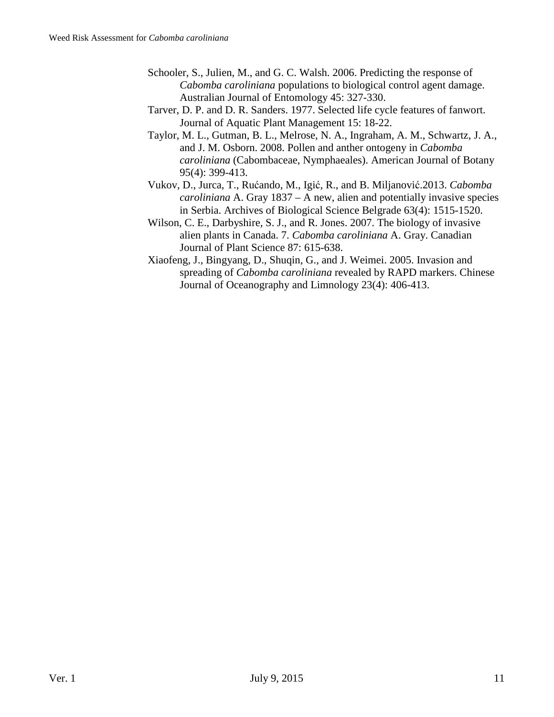- Schooler, S., Julien, M., and G. C. Walsh. 2006. Predicting the response of *Cabomba caroliniana* populations to biological control agent damage. Australian Journal of Entomology 45: 327-330.
- Tarver, D. P. and D. R. Sanders. 1977. Selected life cycle features of fanwort. Journal of Aquatic Plant Management 15: 18-22.
- Taylor, M. L., Gutman, B. L., Melrose, N. A., Ingraham, A. M., Schwartz, J. A., and J. M. Osborn. 2008. Pollen and anther ontogeny in *Cabomba caroliniana* (Cabombaceae, Nymphaeales). American Journal of Botany 95(4): 399-413.
- Vukov, D., Jurca, T., Rućando, M., Igić, R., and B. Miljanović.2013. *Cabomba caroliniana* A. Gray 1837 – A new, alien and potentially invasive species in Serbia. Archives of Biological Science Belgrade 63(4): 1515-1520.
- Wilson, C. E., Darbyshire, S. J., and R. Jones. 2007. The biology of invasive alien plants in Canada. 7. *Cabomba caroliniana* A. Gray. Canadian Journal of Plant Science 87: 615-638.
- Xiaofeng, J., Bingyang, D., Shuqin, G., and J. Weimei. 2005. Invasion and spreading of *Cabomba caroliniana* revealed by RAPD markers. Chinese Journal of Oceanography and Limnology 23(4): 406-413.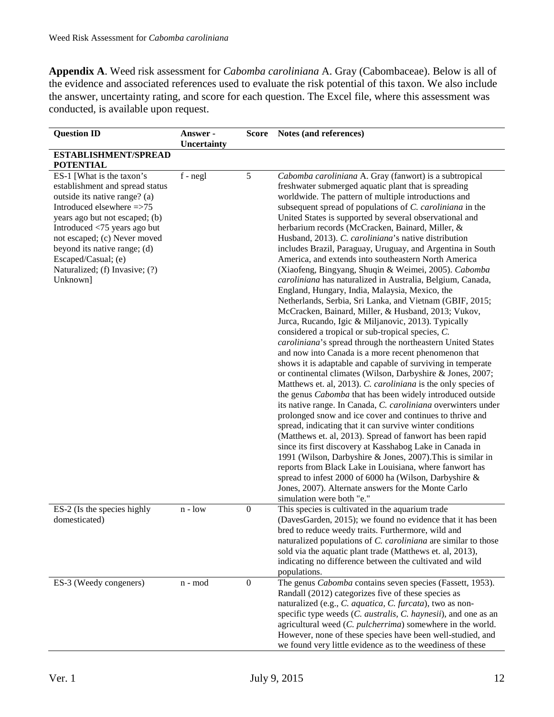**Appendix A**. Weed risk assessment for *Cabomba caroliniana* A. Gray (Cabombaceae). Below is all of the evidence and associated references used to evaluate the risk potential of this taxon. We also include the answer, uncertainty rating, and score for each question. The Excel file, where this assessment was conducted, is available upon request.

| <b>Question ID</b>                                                                                                                                                                                                                                                                                                                | Answer -<br>Uncertainty | <b>Score</b>     | Notes (and references)                                                                                                                                                                                                                                                                                                                                                                                                                                                                                                                                                                                                                                                                                                                                                                                                                                                                                                                                                                                                                                                                                                                                                                                                                                                                                                                                                                                                                                                                                                                                                                                                                                                                                                                                                                                                                                                                                              |
|-----------------------------------------------------------------------------------------------------------------------------------------------------------------------------------------------------------------------------------------------------------------------------------------------------------------------------------|-------------------------|------------------|---------------------------------------------------------------------------------------------------------------------------------------------------------------------------------------------------------------------------------------------------------------------------------------------------------------------------------------------------------------------------------------------------------------------------------------------------------------------------------------------------------------------------------------------------------------------------------------------------------------------------------------------------------------------------------------------------------------------------------------------------------------------------------------------------------------------------------------------------------------------------------------------------------------------------------------------------------------------------------------------------------------------------------------------------------------------------------------------------------------------------------------------------------------------------------------------------------------------------------------------------------------------------------------------------------------------------------------------------------------------------------------------------------------------------------------------------------------------------------------------------------------------------------------------------------------------------------------------------------------------------------------------------------------------------------------------------------------------------------------------------------------------------------------------------------------------------------------------------------------------------------------------------------------------|
| ESTABLISHMENT/SPREAD<br><b>POTENTIAL</b>                                                                                                                                                                                                                                                                                          |                         |                  |                                                                                                                                                                                                                                                                                                                                                                                                                                                                                                                                                                                                                                                                                                                                                                                                                                                                                                                                                                                                                                                                                                                                                                                                                                                                                                                                                                                                                                                                                                                                                                                                                                                                                                                                                                                                                                                                                                                     |
| ES-1 [What is the taxon's<br>establishment and spread status<br>outside its native range? (a)<br>Introduced elsewhere =>75<br>years ago but not escaped; (b)<br>Introduced <75 years ago but<br>not escaped; (c) Never moved<br>beyond its native range; (d)<br>Escaped/Casual; (e)<br>Naturalized; (f) Invasive; (?)<br>Unknown] | $f - negl$              | 5                | Cabomba caroliniana A. Gray (fanwort) is a subtropical<br>freshwater submerged aquatic plant that is spreading<br>worldwide. The pattern of multiple introductions and<br>subsequent spread of populations of C. caroliniana in the<br>United States is supported by several observational and<br>herbarium records (McCracken, Bainard, Miller, &<br>Husband, 2013). C. caroliniana's native distribution<br>includes Brazil, Paraguay, Uruguay, and Argentina in South<br>America, and extends into southeastern North America<br>(Xiaofeng, Bingyang, Shuqin & Weimei, 2005). Cabomba<br>caroliniana has naturalized in Australia, Belgium, Canada,<br>England, Hungary, India, Malaysia, Mexico, the<br>Netherlands, Serbia, Sri Lanka, and Vietnam (GBIF, 2015;<br>McCracken, Bainard, Miller, & Husband, 2013; Vukov,<br>Jurca, Rucando, Igic & Miljanovic, 2013). Typically<br>considered a tropical or sub-tropical species, C.<br>caroliniana's spread through the northeastern United States<br>and now into Canada is a more recent phenomenon that<br>shows it is adaptable and capable of surviving in temperate<br>or continental climates (Wilson, Darbyshire & Jones, 2007;<br>Matthews et. al, 2013). C. caroliniana is the only species of<br>the genus Cabomba that has been widely introduced outside<br>its native range. In Canada, C. caroliniana overwinters under<br>prolonged snow and ice cover and continues to thrive and<br>spread, indicating that it can survive winter conditions<br>(Matthews et. al, 2013). Spread of fanwort has been rapid<br>since its first discovery at Kasshabog Lake in Canada in<br>1991 (Wilson, Darbyshire & Jones, 2007). This is similar in<br>reports from Black Lake in Louisiana, where fanwort has<br>spread to infest 2000 of 6000 ha (Wilson, Darbyshire &<br>Jones, 2007). Alternate answers for the Monte Carlo<br>simulation were both "e." |
| ES-2 (Is the species highly<br>domesticated)                                                                                                                                                                                                                                                                                      | $n - low$               | $\boldsymbol{0}$ | This species is cultivated in the aquarium trade<br>(DavesGarden, 2015); we found no evidence that it has been<br>bred to reduce weedy traits. Furthermore, wild and<br>naturalized populations of C. caroliniana are similar to those<br>sold via the aquatic plant trade (Matthews et. al, 2013),<br>indicating no difference between the cultivated and wild<br>populations.                                                                                                                                                                                                                                                                                                                                                                                                                                                                                                                                                                                                                                                                                                                                                                                                                                                                                                                                                                                                                                                                                                                                                                                                                                                                                                                                                                                                                                                                                                                                     |
| ES-3 (Weedy congeners)                                                                                                                                                                                                                                                                                                            | n - mod                 | $\boldsymbol{0}$ | The genus Cabomba contains seven species (Fassett, 1953).<br>Randall (2012) categorizes five of these species as<br>naturalized (e.g., C. aquatica, C. furcata), two as non-<br>specific type weeds (C. australis, C. haynesii), and one as an<br>agricultural weed (C. pulcherrima) somewhere in the world.<br>However, none of these species have been well-studied, and<br>we found very little evidence as to the weediness of these                                                                                                                                                                                                                                                                                                                                                                                                                                                                                                                                                                                                                                                                                                                                                                                                                                                                                                                                                                                                                                                                                                                                                                                                                                                                                                                                                                                                                                                                            |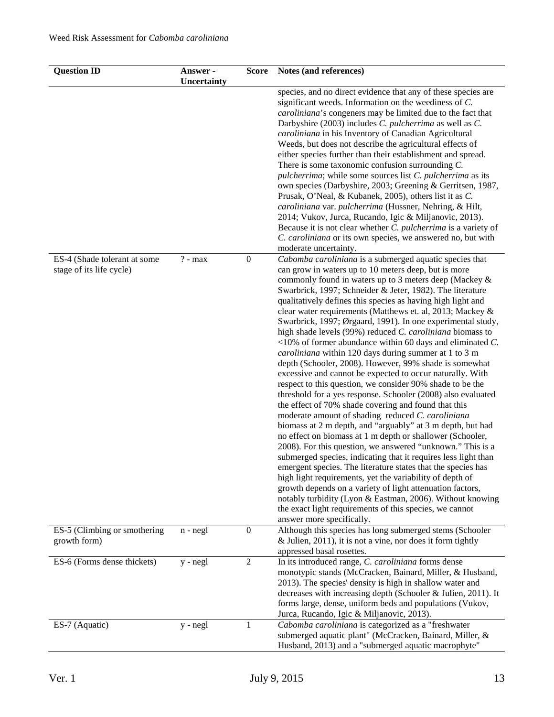| <b>Question ID</b>                                       | Answer -<br>Uncertainty | <b>Score</b>     | Notes (and references)                                                                                                                                                                                                                                                                                                                                                                                                                                                                                                                                                                                                                                                                                                                                                                                                                                                                                                                                                                                                                                                                                                                                                                                                                                                                                                                                                                                                                                                                                                                                                                            |
|----------------------------------------------------------|-------------------------|------------------|---------------------------------------------------------------------------------------------------------------------------------------------------------------------------------------------------------------------------------------------------------------------------------------------------------------------------------------------------------------------------------------------------------------------------------------------------------------------------------------------------------------------------------------------------------------------------------------------------------------------------------------------------------------------------------------------------------------------------------------------------------------------------------------------------------------------------------------------------------------------------------------------------------------------------------------------------------------------------------------------------------------------------------------------------------------------------------------------------------------------------------------------------------------------------------------------------------------------------------------------------------------------------------------------------------------------------------------------------------------------------------------------------------------------------------------------------------------------------------------------------------------------------------------------------------------------------------------------------|
|                                                          |                         |                  | species, and no direct evidence that any of these species are<br>significant weeds. Information on the weediness of C.<br>caroliniana's congeners may be limited due to the fact that<br>Darbyshire (2003) includes C. pulcherrima as well as C.<br>caroliniana in his Inventory of Canadian Agricultural<br>Weeds, but does not describe the agricultural effects of<br>either species further than their establishment and spread.<br>There is some taxonomic confusion surrounding $C$ .<br>pulcherrima; while some sources list C. pulcherrima as its<br>own species (Darbyshire, 2003; Greening & Gerritsen, 1987,<br>Prusak, O'Neal, & Kubanek, 2005), others list it as C.<br>caroliniana var. pulcherrima (Hussner, Nehring, & Hilt,<br>2014; Vukov, Jurca, Rucando, Igic & Miljanovic, 2013).<br>Because it is not clear whether C. pulcherrima is a variety of<br>C. caroliniana or its own species, we answered no, but with<br>moderate uncertainty.                                                                                                                                                                                                                                                                                                                                                                                                                                                                                                                                                                                                                                  |
| ES-4 (Shade tolerant at some<br>stage of its life cycle) | $? - max$               | $\boldsymbol{0}$ | Cabomba caroliniana is a submerged aquatic species that<br>can grow in waters up to 10 meters deep, but is more<br>commonly found in waters up to 3 meters deep (Mackey &<br>Swarbrick, 1997; Schneider & Jeter, 1982). The literature<br>qualitatively defines this species as having high light and<br>clear water requirements (Matthews et. al, 2013; Mackey &<br>Swarbrick, 1997; Ørgaard, 1991). In one experimental study,<br>high shade levels (99%) reduced C. caroliniana biomass to<br>$<$ 10% of former abundance within 60 days and eliminated C.<br>caroliniana within 120 days during summer at 1 to 3 m<br>depth (Schooler, 2008). However, 99% shade is somewhat<br>excessive and cannot be expected to occur naturally. With<br>respect to this question, we consider 90% shade to be the<br>threshold for a yes response. Schooler (2008) also evaluated<br>the effect of 70% shade covering and found that this<br>moderate amount of shading reduced C. caroliniana<br>biomass at 2 m depth, and "arguably" at 3 m depth, but had<br>no effect on biomass at 1 m depth or shallower (Schooler,<br>2008). For this question, we answered "unknown." This is a<br>submerged species, indicating that it requires less light than<br>emergent species. The literature states that the species has<br>high light requirements, yet the variability of depth of<br>growth depends on a variety of light attenuation factors,<br>notably turbidity (Lyon & Eastman, 2006). Without knowing<br>the exact light requirements of this species, we cannot<br>answer more specifically. |
| ES-5 (Climbing or smothering<br>growth form)             | $n - negl$              | $\boldsymbol{0}$ | Although this species has long submerged stems (Schooler<br>& Julien, $2011$ ), it is not a vine, nor does it form tightly<br>appressed basal rosettes.                                                                                                                                                                                                                                                                                                                                                                                                                                                                                                                                                                                                                                                                                                                                                                                                                                                                                                                                                                                                                                                                                                                                                                                                                                                                                                                                                                                                                                           |
| ES-6 (Forms dense thickets)                              | $y - negl$              | $\overline{2}$   | In its introduced range, C. caroliniana forms dense<br>monotypic stands (McCracken, Bainard, Miller, & Husband,<br>2013). The species' density is high in shallow water and<br>decreases with increasing depth (Schooler & Julien, 2011). It<br>forms large, dense, uniform beds and populations (Vukov,<br>Jurca, Rucando, Igic & Miljanovic, 2013).                                                                                                                                                                                                                                                                                                                                                                                                                                                                                                                                                                                                                                                                                                                                                                                                                                                                                                                                                                                                                                                                                                                                                                                                                                             |
| ES-7 (Aquatic)                                           | y - negl                | 1                | Cabomba caroliniana is categorized as a "freshwater<br>submerged aquatic plant" (McCracken, Bainard, Miller, &<br>Husband, 2013) and a "submerged aquatic macrophyte"                                                                                                                                                                                                                                                                                                                                                                                                                                                                                                                                                                                                                                                                                                                                                                                                                                                                                                                                                                                                                                                                                                                                                                                                                                                                                                                                                                                                                             |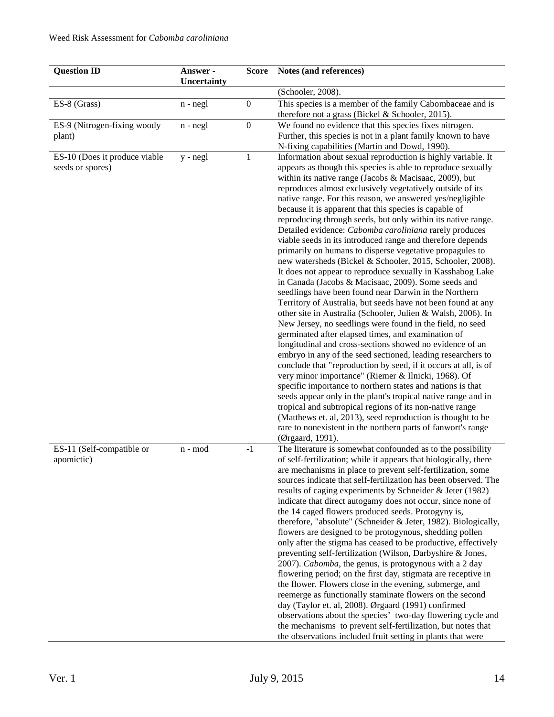| <b>Question ID</b>                                | Answer -<br>Uncertainty | <b>Score</b>     | Notes (and references)                                                                                                                                                                                                                                                                                                                                                                                                                                                                                                                                                                                                                                                                                                                                                                                                                                                                                                                                                                                                                                                                                                                                                                                                                                                                                                                                                                                                                                                                                                                                                                                                                                                                                                          |
|---------------------------------------------------|-------------------------|------------------|---------------------------------------------------------------------------------------------------------------------------------------------------------------------------------------------------------------------------------------------------------------------------------------------------------------------------------------------------------------------------------------------------------------------------------------------------------------------------------------------------------------------------------------------------------------------------------------------------------------------------------------------------------------------------------------------------------------------------------------------------------------------------------------------------------------------------------------------------------------------------------------------------------------------------------------------------------------------------------------------------------------------------------------------------------------------------------------------------------------------------------------------------------------------------------------------------------------------------------------------------------------------------------------------------------------------------------------------------------------------------------------------------------------------------------------------------------------------------------------------------------------------------------------------------------------------------------------------------------------------------------------------------------------------------------------------------------------------------------|
|                                                   |                         |                  | (Schooler, 2008).                                                                                                                                                                                                                                                                                                                                                                                                                                                                                                                                                                                                                                                                                                                                                                                                                                                                                                                                                                                                                                                                                                                                                                                                                                                                                                                                                                                                                                                                                                                                                                                                                                                                                                               |
| ES-8 (Grass)                                      | $n - negl$              | $\boldsymbol{0}$ | This species is a member of the family Cabombaceae and is<br>therefore not a grass (Bickel & Schooler, 2015).                                                                                                                                                                                                                                                                                                                                                                                                                                                                                                                                                                                                                                                                                                                                                                                                                                                                                                                                                                                                                                                                                                                                                                                                                                                                                                                                                                                                                                                                                                                                                                                                                   |
| ES-9 (Nitrogen-fixing woody<br>plant)             | $n - negl$              | $\boldsymbol{0}$ | We found no evidence that this species fixes nitrogen.<br>Further, this species is not in a plant family known to have<br>N-fixing capabilities (Martin and Dowd, 1990).                                                                                                                                                                                                                                                                                                                                                                                                                                                                                                                                                                                                                                                                                                                                                                                                                                                                                                                                                                                                                                                                                                                                                                                                                                                                                                                                                                                                                                                                                                                                                        |
| ES-10 (Does it produce viable<br>seeds or spores) | $y - negl$              | $\mathbf{1}$     | Information about sexual reproduction is highly variable. It<br>appears as though this species is able to reproduce sexually<br>within its native range (Jacobs & Macisaac, 2009), but<br>reproduces almost exclusively vegetatively outside of its<br>native range. For this reason, we answered yes/negligible<br>because it is apparent that this species is capable of<br>reproducing through seeds, but only within its native range.<br>Detailed evidence: Cabomba caroliniana rarely produces<br>viable seeds in its introduced range and therefore depends<br>primarily on humans to disperse vegetative propagules to<br>new watersheds (Bickel & Schooler, 2015, Schooler, 2008).<br>It does not appear to reproduce sexually in Kasshabog Lake<br>in Canada (Jacobs & Macisaac, 2009). Some seeds and<br>seedlings have been found near Darwin in the Northern<br>Territory of Australia, but seeds have not been found at any<br>other site in Australia (Schooler, Julien & Walsh, 2006). In<br>New Jersey, no seedlings were found in the field, no seed<br>germinated after elapsed times, and examination of<br>longitudinal and cross-sections showed no evidence of an<br>embryo in any of the seed sectioned, leading researchers to<br>conclude that "reproduction by seed, if it occurs at all, is of<br>very minor importance" (Riemer & Ilnicki, 1968). Of<br>specific importance to northern states and nations is that<br>seeds appear only in the plant's tropical native range and in<br>tropical and subtropical regions of its non-native range<br>(Matthews et. al, 2013), seed reproduction is thought to be<br>rare to nonexistent in the northern parts of fanwort's range<br>(Ørgaard, 1991). |
| ES-11 (Self-compatible or<br>apomictic)           | n - mod                 | $-1$             | The literature is somewhat confounded as to the possibility<br>of self-fertilization; while it appears that biologically, there<br>are mechanisms in place to prevent self-fertilization, some<br>sources indicate that self-fertilization has been observed. The<br>results of caging experiments by Schneider & Jeter (1982)<br>indicate that direct autogamy does not occur, since none of<br>the 14 caged flowers produced seeds. Protogyny is,<br>therefore, "absolute" (Schneider & Jeter, 1982). Biologically,<br>flowers are designed to be protogynous, shedding pollen<br>only after the stigma has ceased to be productive, effectively<br>preventing self-fertilization (Wilson, Darbyshire & Jones,<br>2007). Cabomba, the genus, is protogynous with a 2 day<br>flowering period; on the first day, stigmata are receptive in<br>the flower. Flowers close in the evening, submerge, and<br>reemerge as functionally staminate flowers on the second<br>day (Taylor et. al, 2008). Ørgaard (1991) confirmed<br>observations about the species' two-day flowering cycle and<br>the mechanisms to prevent self-fertilization, but notes that<br>the observations included fruit setting in plants that were                                                                                                                                                                                                                                                                                                                                                                                                                                                                                                         |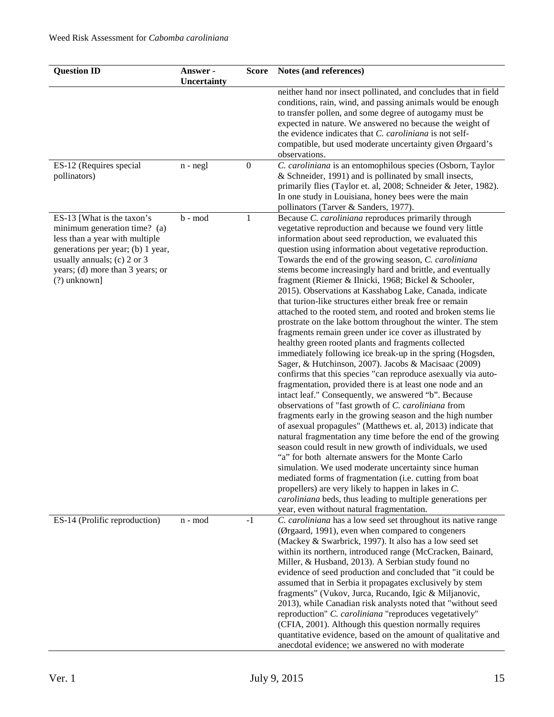| <b>Question ID</b>                                                                                                                                                                                                   | Answer -<br>Uncertainty | <b>Score</b>     | Notes (and references)                                                                                                                                                                                                                                                                                                                                                                                                                                                                                                                                                                                                                                                                                                                                                                                                                                                                                                                                                                                                                                                                                                                                                                                                                                                                                                                                                                                                                                                                                                                                                                                                                                                                                                                                                     |
|----------------------------------------------------------------------------------------------------------------------------------------------------------------------------------------------------------------------|-------------------------|------------------|----------------------------------------------------------------------------------------------------------------------------------------------------------------------------------------------------------------------------------------------------------------------------------------------------------------------------------------------------------------------------------------------------------------------------------------------------------------------------------------------------------------------------------------------------------------------------------------------------------------------------------------------------------------------------------------------------------------------------------------------------------------------------------------------------------------------------------------------------------------------------------------------------------------------------------------------------------------------------------------------------------------------------------------------------------------------------------------------------------------------------------------------------------------------------------------------------------------------------------------------------------------------------------------------------------------------------------------------------------------------------------------------------------------------------------------------------------------------------------------------------------------------------------------------------------------------------------------------------------------------------------------------------------------------------------------------------------------------------------------------------------------------------|
|                                                                                                                                                                                                                      |                         |                  | neither hand nor insect pollinated, and concludes that in field<br>conditions, rain, wind, and passing animals would be enough<br>to transfer pollen, and some degree of autogamy must be<br>expected in nature. We answered no because the weight of<br>the evidence indicates that C. caroliniana is not self-<br>compatible, but used moderate uncertainty given Ørgaard's<br>observations.                                                                                                                                                                                                                                                                                                                                                                                                                                                                                                                                                                                                                                                                                                                                                                                                                                                                                                                                                                                                                                                                                                                                                                                                                                                                                                                                                                             |
| ES-12 (Requires special<br>pollinators)                                                                                                                                                                              | $n - negl$              | $\boldsymbol{0}$ | C. caroliniana is an entomophilous species (Osborn, Taylor<br>& Schneider, 1991) and is pollinated by small insects,<br>primarily flies (Taylor et. al, 2008; Schneider & Jeter, 1982).<br>In one study in Louisiana, honey bees were the main<br>pollinators (Tarver & Sanders, 1977).                                                                                                                                                                                                                                                                                                                                                                                                                                                                                                                                                                                                                                                                                                                                                                                                                                                                                                                                                                                                                                                                                                                                                                                                                                                                                                                                                                                                                                                                                    |
| ES-13 [What is the taxon's<br>minimum generation time? (a)<br>less than a year with multiple<br>generations per year; (b) 1 year,<br>usually annuals; (c) 2 or 3<br>years; (d) more than 3 years; or<br>(?) unknown] | b - mod                 | $\mathbf{1}$     | Because C. caroliniana reproduces primarily through<br>vegetative reproduction and because we found very little<br>information about seed reproduction, we evaluated this<br>question using information about vegetative reproduction.<br>Towards the end of the growing season, C. caroliniana<br>stems become increasingly hard and brittle, and eventually<br>fragment (Riemer & Ilnicki, 1968; Bickel & Schooler,<br>2015). Observations at Kasshabog Lake, Canada, indicate<br>that turion-like structures either break free or remain<br>attached to the rooted stem, and rooted and broken stems lie<br>prostrate on the lake bottom throughout the winter. The stem<br>fragments remain green under ice cover as illustrated by<br>healthy green rooted plants and fragments collected<br>immediately following ice break-up in the spring (Hogsden,<br>Sager, & Hutchinson, 2007). Jacobs & Macisaac (2009)<br>confirms that this species "can reproduce asexually via auto-<br>fragmentation, provided there is at least one node and an<br>intact leaf." Consequently, we answered "b". Because<br>observations of "fast growth of C. caroliniana from<br>fragments early in the growing season and the high number<br>of asexual propagules" (Matthews et. al, 2013) indicate that<br>natural fragmentation any time before the end of the growing<br>season could result in new growth of individuals, we used<br>"a" for both alternate answers for the Monte Carlo<br>simulation. We used moderate uncertainty since human<br>mediated forms of fragmentation (i.e. cutting from boat<br>propellers) are very likely to happen in lakes in $C$ .<br>caroliniana beds, thus leading to multiple generations per<br>year, even without natural fragmentation. |
| ES-14 (Prolific reproduction)                                                                                                                                                                                        | n - mod                 | $-1$             | C. caroliniana has a low seed set throughout its native range<br>(Ørgaard, 1991), even when compared to congeners<br>(Mackey & Swarbrick, 1997). It also has a low seed set<br>within its northern, introduced range (McCracken, Bainard,<br>Miller, & Husband, 2013). A Serbian study found no<br>evidence of seed production and concluded that "it could be<br>assumed that in Serbia it propagates exclusively by stem<br>fragments" (Vukov, Jurca, Rucando, Igic & Miljanovic,<br>2013), while Canadian risk analysts noted that "without seed<br>reproduction" C. caroliniana "reproduces vegetatively"<br>(CFIA, 2001). Although this question normally requires<br>quantitative evidence, based on the amount of qualitative and<br>anecdotal evidence; we answered no with moderate                                                                                                                                                                                                                                                                                                                                                                                                                                                                                                                                                                                                                                                                                                                                                                                                                                                                                                                                                                               |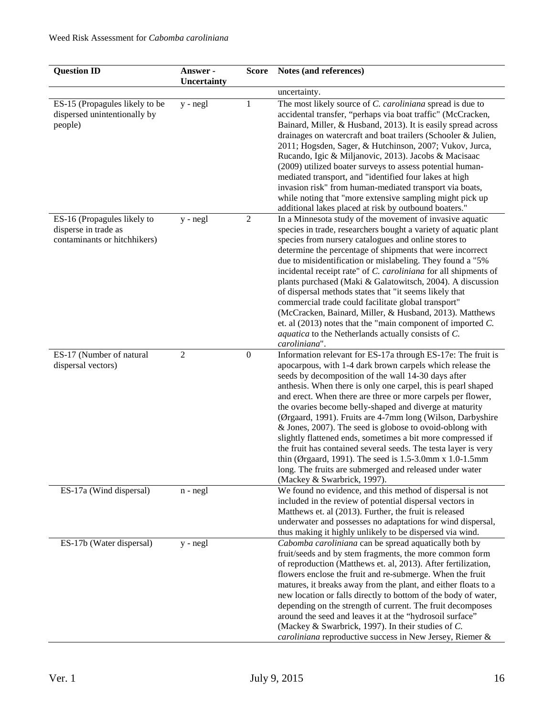| <b>Question ID</b>                                                                  | Answer -<br>Uncertainty | <b>Score</b>     | Notes (and references)                                                                                                                                                                                                                                                                                                                                                                                                                                                                                                                                                                                                                                                                                                                                                                         |
|-------------------------------------------------------------------------------------|-------------------------|------------------|------------------------------------------------------------------------------------------------------------------------------------------------------------------------------------------------------------------------------------------------------------------------------------------------------------------------------------------------------------------------------------------------------------------------------------------------------------------------------------------------------------------------------------------------------------------------------------------------------------------------------------------------------------------------------------------------------------------------------------------------------------------------------------------------|
|                                                                                     |                         |                  | uncertainty.                                                                                                                                                                                                                                                                                                                                                                                                                                                                                                                                                                                                                                                                                                                                                                                   |
| ES-15 (Propagules likely to be<br>dispersed unintentionally by<br>people)           | y - negl                | 1                | The most likely source of C. caroliniana spread is due to<br>accidental transfer, "perhaps via boat traffic" (McCracken,<br>Bainard, Miller, & Husband, 2013). It is easily spread across<br>drainages on watercraft and boat trailers (Schooler & Julien,<br>2011; Hogsden, Sager, & Hutchinson, 2007; Vukov, Jurca,<br>Rucando, Igic & Miljanovic, 2013). Jacobs & Macisaac<br>(2009) utilized boater surveys to assess potential human-<br>mediated transport, and "identified four lakes at high<br>invasion risk" from human-mediated transport via boats,<br>while noting that "more extensive sampling might pick up<br>additional lakes placed at risk by outbound boaters."                                                                                                           |
| ES-16 (Propagules likely to<br>disperse in trade as<br>contaminants or hitchhikers) | $y - negl$              | $\overline{2}$   | In a Minnesota study of the movement of invasive aquatic<br>species in trade, researchers bought a variety of aquatic plant<br>species from nursery catalogues and online stores to<br>determine the percentage of shipments that were incorrect<br>due to misidentification or mislabeling. They found a "5%<br>incidental receipt rate" of C. caroliniana for all shipments of<br>plants purchased (Maki & Galatowitsch, 2004). A discussion<br>of dispersal methods states that "it seems likely that<br>commercial trade could facilitate global transport"<br>(McCracken, Bainard, Miller, & Husband, 2013). Matthews<br>et. al $(2013)$ notes that the "main component of imported C.<br>aquatica to the Netherlands actually consists of C.<br>caroliniana".                            |
| ES-17 (Number of natural<br>dispersal vectors)                                      | $\sqrt{2}$              | $\boldsymbol{0}$ | Information relevant for ES-17a through ES-17e: The fruit is<br>apocarpous, with 1-4 dark brown carpels which release the<br>seeds by decomposition of the wall 14-30 days after<br>anthesis. When there is only one carpel, this is pearl shaped<br>and erect. When there are three or more carpels per flower,<br>the ovaries become belly-shaped and diverge at maturity<br>(Ørgaard, 1991). Fruits are 4-7mm long (Wilson, Darbyshire<br>& Jones, 2007). The seed is globose to ovoid-oblong with<br>slightly flattened ends, sometimes a bit more compressed if<br>the fruit has contained several seeds. The testa layer is very<br>thin (Ørgaard, 1991). The seed is $1.5$ -3.0mm x 1.0-1.5mm<br>long. The fruits are submerged and released under water<br>(Mackey & Swarbrick, 1997). |
| ES-17a (Wind dispersal)                                                             | $n - negl$              |                  | We found no evidence, and this method of dispersal is not<br>included in the review of potential dispersal vectors in<br>Matthews et. al (2013). Further, the fruit is released<br>underwater and possesses no adaptations for wind dispersal,<br>thus making it highly unlikely to be dispersed via wind.                                                                                                                                                                                                                                                                                                                                                                                                                                                                                     |
| ES-17b (Water dispersal)                                                            | $y - negl$              |                  | Cabomba caroliniana can be spread aquatically both by<br>fruit/seeds and by stem fragments, the more common form<br>of reproduction (Matthews et. al, 2013). After fertilization,<br>flowers enclose the fruit and re-submerge. When the fruit<br>matures, it breaks away from the plant, and either floats to a<br>new location or falls directly to bottom of the body of water,<br>depending on the strength of current. The fruit decomposes<br>around the seed and leaves it at the "hydrosoil surface"<br>(Mackey & Swarbrick, 1997). In their studies of C.<br>caroliniana reproductive success in New Jersey, Riemer &                                                                                                                                                                 |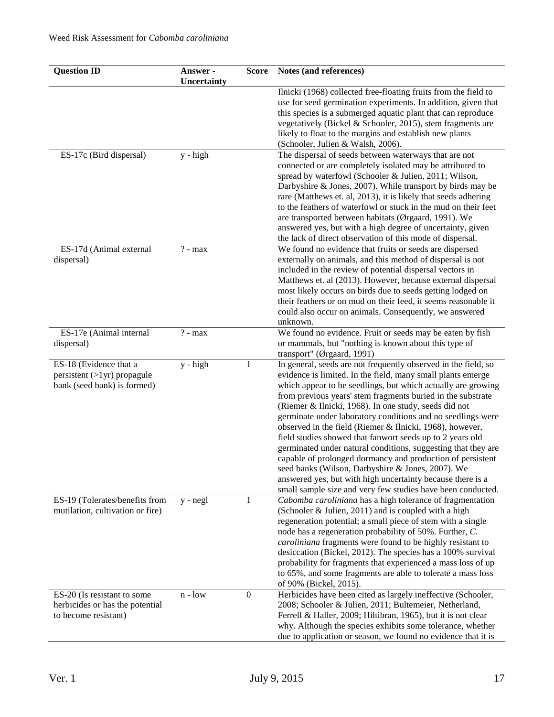| <b>Question ID</b>                                                                     | Answer -<br><b>Uncertainty</b> | <b>Score</b>     | Notes (and references)                                                                                                                                                                                                                                                                                                                                                                                                                                                                                                                                                                                                                                                                                                                                                                                                         |
|----------------------------------------------------------------------------------------|--------------------------------|------------------|--------------------------------------------------------------------------------------------------------------------------------------------------------------------------------------------------------------------------------------------------------------------------------------------------------------------------------------------------------------------------------------------------------------------------------------------------------------------------------------------------------------------------------------------------------------------------------------------------------------------------------------------------------------------------------------------------------------------------------------------------------------------------------------------------------------------------------|
|                                                                                        |                                |                  | Ilnicki (1968) collected free-floating fruits from the field to<br>use for seed germination experiments. In addition, given that<br>this species is a submerged aquatic plant that can reproduce<br>vegetatively (Bickel & Schooler, 2015), stem fragments are<br>likely to float to the margins and establish new plants<br>(Schooler, Julien & Walsh, 2006).                                                                                                                                                                                                                                                                                                                                                                                                                                                                 |
| ES-17c (Bird dispersal)                                                                | $y - high$                     |                  | The dispersal of seeds between waterways that are not<br>connected or are completely isolated may be attributed to<br>spread by waterfowl (Schooler & Julien, 2011; Wilson,<br>Darbyshire & Jones, 2007). While transport by birds may be<br>rare (Matthews et. al, 2013), it is likely that seeds adhering<br>to the feathers of waterfowl or stuck in the mud on their feet<br>are transported between habitats (Ørgaard, 1991). We<br>answered yes, but with a high degree of uncertainty, given<br>the lack of direct observation of this mode of dispersal.                                                                                                                                                                                                                                                               |
| ES-17d (Animal external<br>dispersal)                                                  | $? - max$                      |                  | We found no evidence that fruits or seeds are dispersed<br>externally on animals, and this method of dispersal is not<br>included in the review of potential dispersal vectors in<br>Matthews et. al (2013). However, because external dispersal<br>most likely occurs on birds due to seeds getting lodged on<br>their feathers or on mud on their feed, it seems reasonable it<br>could also occur on animals. Consequently, we answered<br>unknown.                                                                                                                                                                                                                                                                                                                                                                         |
| ES-17e (Animal internal<br>dispersal)                                                  | $? - max$                      |                  | We found no evidence. Fruit or seeds may be eaten by fish<br>or mammals, but "nothing is known about this type of<br>transport" (Ørgaard, 1991)                                                                                                                                                                                                                                                                                                                                                                                                                                                                                                                                                                                                                                                                                |
| ES-18 (Evidence that a<br>$persistent (>1yr)$ propagule<br>bank (seed bank) is formed) | y - high                       | 1                | In general, seeds are not frequently observed in the field, so<br>evidence is limited. In the field, many small plants emerge<br>which appear to be seedlings, but which actually are growing<br>from previous years' stem fragments buried in the substrate<br>(Riemer & Ilnicki, 1968). In one study, seeds did not<br>germinate under laboratory conditions and no seedlings were<br>observed in the field (Riemer & Ilnicki, 1968), however,<br>field studies showed that fanwort seeds up to 2 years old<br>germinated under natural conditions, suggesting that they are<br>capable of prolonged dormancy and production of persistent<br>seed banks (Wilson, Darbyshire & Jones, 2007). We<br>answered yes, but with high uncertainty because there is a<br>small sample size and very few studies have been conducted. |
| ES-19 (Tolerates/benefits from<br>mutilation, cultivation or fire)                     | $y - negl$                     | 1                | Cabomba caroliniana has a high tolerance of fragmentation<br>(Schooler & Julien, 2011) and is coupled with a high<br>regeneration potential; a small piece of stem with a single<br>node has a regeneration probability of 50%. Further, C.<br>caroliniana fragments were found to be highly resistant to<br>desiccation (Bickel, 2012). The species has a 100% survival<br>probability for fragments that experienced a mass loss of up<br>to 65%, and some fragments are able to tolerate a mass loss<br>of 90% (Bickel, 2015).                                                                                                                                                                                                                                                                                              |
| ES-20 (Is resistant to some<br>herbicides or has the potential<br>to become resistant) | $n - low$                      | $\boldsymbol{0}$ | Herbicides have been cited as largely ineffective (Schooler,<br>2008; Schooler & Julien, 2011; Bultemeier, Netherland,<br>Ferrell & Haller, 2009; Hiltibran, 1965), but it is not clear<br>why. Although the species exhibits some tolerance, whether<br>due to application or season, we found no evidence that it is                                                                                                                                                                                                                                                                                                                                                                                                                                                                                                         |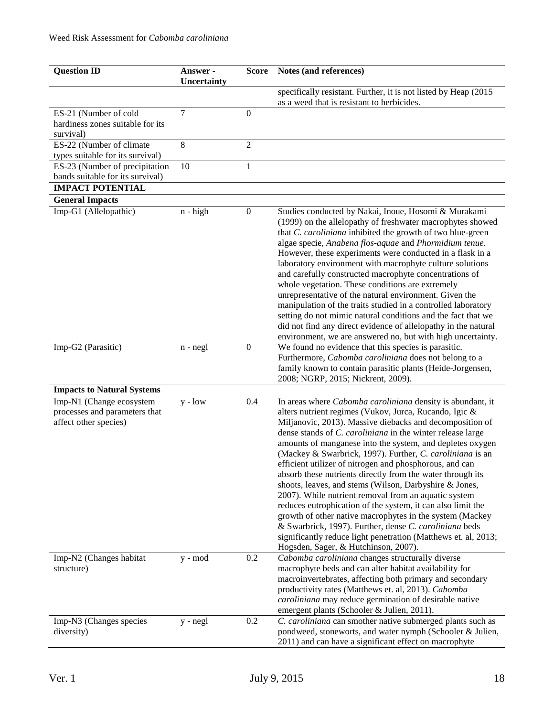| <b>Question ID</b>                                                                 | Answer -<br>Uncertainty | <b>Score</b>     | Notes (and references)                                                                                                                                                                                                                                                                                                                                                                                                                                                                                                                                                                                                                                                                                                                                                                                                                                                                                             |
|------------------------------------------------------------------------------------|-------------------------|------------------|--------------------------------------------------------------------------------------------------------------------------------------------------------------------------------------------------------------------------------------------------------------------------------------------------------------------------------------------------------------------------------------------------------------------------------------------------------------------------------------------------------------------------------------------------------------------------------------------------------------------------------------------------------------------------------------------------------------------------------------------------------------------------------------------------------------------------------------------------------------------------------------------------------------------|
|                                                                                    |                         |                  | specifically resistant. Further, it is not listed by Heap (2015<br>as a weed that is resistant to herbicides.                                                                                                                                                                                                                                                                                                                                                                                                                                                                                                                                                                                                                                                                                                                                                                                                      |
| ES-21 (Number of cold                                                              | 7                       | $\overline{0}$   |                                                                                                                                                                                                                                                                                                                                                                                                                                                                                                                                                                                                                                                                                                                                                                                                                                                                                                                    |
| hardiness zones suitable for its<br>survival)                                      |                         |                  |                                                                                                                                                                                                                                                                                                                                                                                                                                                                                                                                                                                                                                                                                                                                                                                                                                                                                                                    |
| ES-22 (Number of climate<br>types suitable for its survival)                       | 8                       | $\overline{2}$   |                                                                                                                                                                                                                                                                                                                                                                                                                                                                                                                                                                                                                                                                                                                                                                                                                                                                                                                    |
| ES-23 (Number of precipitation<br>bands suitable for its survival)                 | 10                      | $\mathbf{1}$     |                                                                                                                                                                                                                                                                                                                                                                                                                                                                                                                                                                                                                                                                                                                                                                                                                                                                                                                    |
| <b>IMPACT POTENTIAL</b>                                                            |                         |                  |                                                                                                                                                                                                                                                                                                                                                                                                                                                                                                                                                                                                                                                                                                                                                                                                                                                                                                                    |
| <b>General Impacts</b>                                                             |                         |                  |                                                                                                                                                                                                                                                                                                                                                                                                                                                                                                                                                                                                                                                                                                                                                                                                                                                                                                                    |
| Imp-G1 (Allelopathic)                                                              | $n - high$              | $\boldsymbol{0}$ | Studies conducted by Nakai, Inoue, Hosomi & Murakami<br>(1999) on the allelopathy of freshwater macrophytes showed<br>that C. caroliniana inhibited the growth of two blue-green<br>algae specie, Anabena flos-aquae and Phormidium tenue.<br>However, these experiments were conducted in a flask in a<br>laboratory environment with macrophyte culture solutions<br>and carefully constructed macrophyte concentrations of<br>whole vegetation. These conditions are extremely<br>unrepresentative of the natural environment. Given the<br>manipulation of the traits studied in a controlled laboratory<br>setting do not mimic natural conditions and the fact that we<br>did not find any direct evidence of allelopathy in the natural<br>environment, we are answered no, but with high uncertainty.                                                                                                      |
| Imp-G2 (Parasitic)                                                                 | $n - negl$              | $\boldsymbol{0}$ | We found no evidence that this species is parasitic.                                                                                                                                                                                                                                                                                                                                                                                                                                                                                                                                                                                                                                                                                                                                                                                                                                                               |
|                                                                                    |                         |                  | Furthermore, Cabomba caroliniana does not belong to a<br>family known to contain parasitic plants (Heide-Jorgensen,<br>2008; NGRP, 2015; Nickrent, 2009).                                                                                                                                                                                                                                                                                                                                                                                                                                                                                                                                                                                                                                                                                                                                                          |
| <b>Impacts to Natural Systems</b>                                                  |                         |                  |                                                                                                                                                                                                                                                                                                                                                                                                                                                                                                                                                                                                                                                                                                                                                                                                                                                                                                                    |
| Imp-N1 (Change ecosystem<br>processes and parameters that<br>affect other species) | $y - low$               | 0.4              | In areas where Cabomba caroliniana density is abundant, it<br>alters nutrient regimes (Vukov, Jurca, Rucando, Igic &<br>Miljanovic, 2013). Massive diebacks and decomposition of<br>dense stands of C. caroliniana in the winter release large<br>amounts of manganese into the system, and depletes oxygen<br>(Mackey & Swarbrick, 1997). Further, C. caroliniana is an<br>efficient utilizer of nitrogen and phosphorous, and can<br>absorb these nutrients directly from the water through its<br>shoots, leaves, and stems (Wilson, Darbyshire & Jones,<br>2007). While nutrient removal from an aquatic system<br>reduces eutrophication of the system, it can also limit the<br>growth of other native macrophytes in the system (Mackey<br>& Swarbrick, 1997). Further, dense C. caroliniana beds<br>significantly reduce light penetration (Matthews et. al, 2013;<br>Hogsden, Sager, & Hutchinson, 2007). |
| Imp-N2 (Changes habitat<br>structure)                                              | y - mod                 | 0.2              | Cabomba caroliniana changes structurally diverse<br>macrophyte beds and can alter habitat availability for<br>macroinvertebrates, affecting both primary and secondary<br>productivity rates (Matthews et. al, 2013). Cabomba<br>caroliniana may reduce germination of desirable native<br>emergent plants (Schooler & Julien, 2011).                                                                                                                                                                                                                                                                                                                                                                                                                                                                                                                                                                              |
| Imp-N3 (Changes species<br>diversity)                                              | y - negl                | 0.2              | C. caroliniana can smother native submerged plants such as<br>pondweed, stoneworts, and water nymph (Schooler & Julien,<br>2011) and can have a significant effect on macrophyte                                                                                                                                                                                                                                                                                                                                                                                                                                                                                                                                                                                                                                                                                                                                   |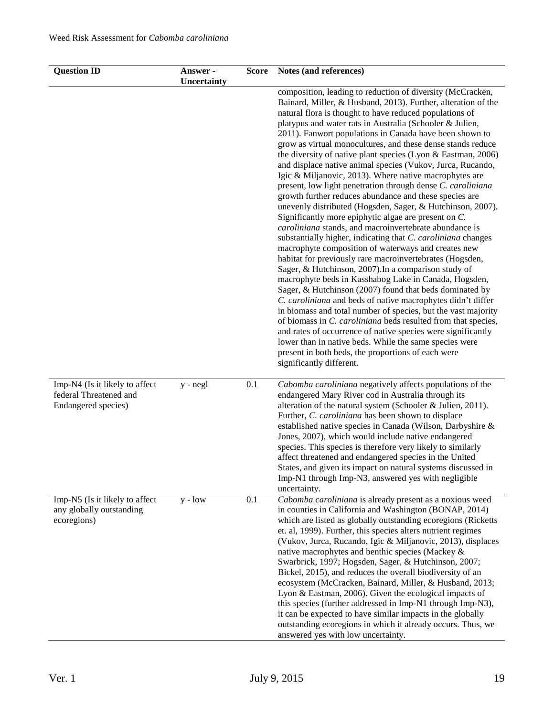| <b>Question ID</b>                                                              | Answer -<br>Uncertainty | <b>Score</b> | Notes (and references)                                                                                                                                                                                                                                                                                                                                                                                                                                                                                                                                                                                                                                                                                                                                                                                                                                                                                                                                                                                                                                                                                                                                                                                                                                                                                                                                                                                                                                                                                                                                                                                                                                       |
|---------------------------------------------------------------------------------|-------------------------|--------------|--------------------------------------------------------------------------------------------------------------------------------------------------------------------------------------------------------------------------------------------------------------------------------------------------------------------------------------------------------------------------------------------------------------------------------------------------------------------------------------------------------------------------------------------------------------------------------------------------------------------------------------------------------------------------------------------------------------------------------------------------------------------------------------------------------------------------------------------------------------------------------------------------------------------------------------------------------------------------------------------------------------------------------------------------------------------------------------------------------------------------------------------------------------------------------------------------------------------------------------------------------------------------------------------------------------------------------------------------------------------------------------------------------------------------------------------------------------------------------------------------------------------------------------------------------------------------------------------------------------------------------------------------------------|
|                                                                                 |                         |              | composition, leading to reduction of diversity (McCracken,<br>Bainard, Miller, & Husband, 2013). Further, alteration of the<br>natural flora is thought to have reduced populations of<br>platypus and water rats in Australia (Schooler & Julien,<br>2011). Fanwort populations in Canada have been shown to<br>grow as virtual monocultures, and these dense stands reduce<br>the diversity of native plant species (Lyon $& Eastman, 2006$ )<br>and displace native animal species (Vukov, Jurca, Rucando,<br>Igic & Miljanovic, 2013). Where native macrophytes are<br>present, low light penetration through dense C. caroliniana<br>growth further reduces abundance and these species are<br>unevenly distributed (Hogsden, Sager, & Hutchinson, 2007).<br>Significantly more epiphytic algae are present on C.<br>caroliniana stands, and macroinvertebrate abundance is<br>substantially higher, indicating that C. caroliniana changes<br>macrophyte composition of waterways and creates new<br>habitat for previously rare macroinvertebrates (Hogsden,<br>Sager, & Hutchinson, 2007). In a comparison study of<br>macrophyte beds in Kasshabog Lake in Canada, Hogsden,<br>Sager, & Hutchinson (2007) found that beds dominated by<br>C. caroliniana and beds of native macrophytes didn't differ<br>in biomass and total number of species, but the vast majority<br>of biomass in C. caroliniana beds resulted from that species,<br>and rates of occurrence of native species were significantly<br>lower than in native beds. While the same species were<br>present in both beds, the proportions of each were<br>significantly different. |
| Imp-N4 (Is it likely to affect<br>federal Threatened and<br>Endangered species) | y - negl                | 0.1          | Cabomba caroliniana negatively affects populations of the<br>endangered Mary River cod in Australia through its<br>alteration of the natural system (Schooler & Julien, 2011).<br>Further, C. caroliniana has been shown to displace<br>established native species in Canada (Wilson, Darbyshire &<br>Jones, 2007), which would include native endangered<br>species. This species is therefore very likely to similarly<br>affect threatened and endangered species in the United<br>States, and given its impact on natural systems discussed in<br>Imp-N1 through Imp-N3, answered yes with negligible<br>uncertainty.                                                                                                                                                                                                                                                                                                                                                                                                                                                                                                                                                                                                                                                                                                                                                                                                                                                                                                                                                                                                                                    |
| Imp-N5 (Is it likely to affect<br>any globally outstanding<br>ecoregions)       | $y - low$               | 0.1          | Cabomba caroliniana is already present as a noxious weed<br>in counties in California and Washington (BONAP, 2014)<br>which are listed as globally outstanding ecoregions (Ricketts<br>et. al, 1999). Further, this species alters nutrient regimes<br>(Vukov, Jurca, Rucando, Igic & Miljanovic, 2013), displaces<br>native macrophytes and benthic species (Mackey &<br>Swarbrick, 1997; Hogsden, Sager, & Hutchinson, 2007;<br>Bickel, 2015), and reduces the overall biodiversity of an<br>ecosystem (McCracken, Bainard, Miller, & Husband, 2013;<br>Lyon & Eastman, 2006). Given the ecological impacts of<br>this species (further addressed in Imp-N1 through Imp-N3),<br>it can be expected to have similar impacts in the globally<br>outstanding ecoregions in which it already occurs. Thus, we<br>answered yes with low uncertainty.                                                                                                                                                                                                                                                                                                                                                                                                                                                                                                                                                                                                                                                                                                                                                                                                            |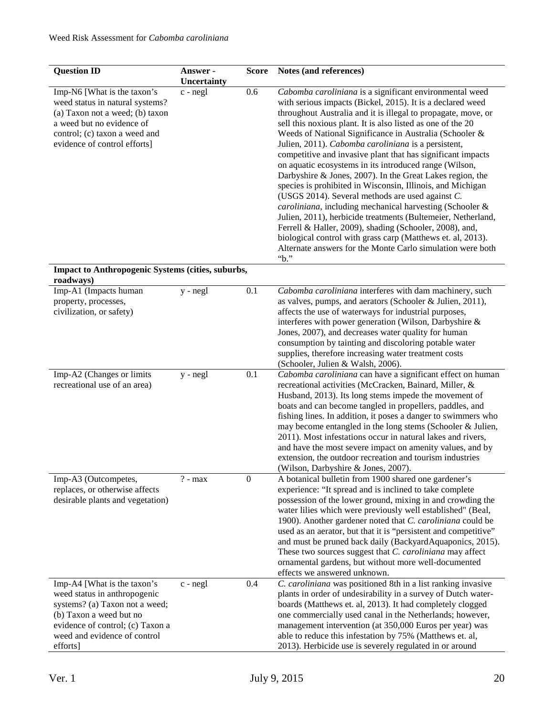| <b>Question ID</b>                                                                                                                                                                                       | Answer -<br>Uncertainty | <b>Score</b>     | Notes (and references)                                                                                                                                                                                                                                                                                                                                                                                                                                                                                                                                                                                                                                                                                                                                                                                                                                                                                                                                                                                      |
|----------------------------------------------------------------------------------------------------------------------------------------------------------------------------------------------------------|-------------------------|------------------|-------------------------------------------------------------------------------------------------------------------------------------------------------------------------------------------------------------------------------------------------------------------------------------------------------------------------------------------------------------------------------------------------------------------------------------------------------------------------------------------------------------------------------------------------------------------------------------------------------------------------------------------------------------------------------------------------------------------------------------------------------------------------------------------------------------------------------------------------------------------------------------------------------------------------------------------------------------------------------------------------------------|
| Imp-N6 [What is the taxon's<br>weed status in natural systems?<br>(a) Taxon not a weed; (b) taxon<br>a weed but no evidence of<br>control; (c) taxon a weed and<br>evidence of control efforts]          | $c$ - $negl$            | 0.6              | Cabomba caroliniana is a significant environmental weed<br>with serious impacts (Bickel, 2015). It is a declared weed<br>throughout Australia and it is illegal to propagate, move, or<br>sell this noxious plant. It is also listed as one of the 20<br>Weeds of National Significance in Australia (Schooler &<br>Julien, 2011). Cabomba caroliniana is a persistent,<br>competitive and invasive plant that has significant impacts<br>on aquatic ecosystems in its introduced range (Wilson,<br>Darbyshire & Jones, 2007). In the Great Lakes region, the<br>species is prohibited in Wisconsin, Illinois, and Michigan<br>(USGS 2014). Several methods are used against C.<br>caroliniana, including mechanical harvesting (Schooler &<br>Julien, 2011), herbicide treatments (Bultemeier, Netherland,<br>Ferrell & Haller, 2009), shading (Schooler, 2008), and,<br>biological control with grass carp (Matthews et. al, 2013).<br>Alternate answers for the Monte Carlo simulation were both<br>"b." |
| Impact to Anthropogenic Systems (cities, suburbs,<br>roadways)                                                                                                                                           |                         |                  |                                                                                                                                                                                                                                                                                                                                                                                                                                                                                                                                                                                                                                                                                                                                                                                                                                                                                                                                                                                                             |
| Imp-A1 (Impacts human<br>property, processes,<br>civilization, or safety)                                                                                                                                | $y - negl$              | 0.1              | Cabomba caroliniana interferes with dam machinery, such<br>as valves, pumps, and aerators (Schooler & Julien, 2011),<br>affects the use of waterways for industrial purposes,<br>interferes with power generation (Wilson, Darbyshire &<br>Jones, 2007), and decreases water quality for human<br>consumption by tainting and discoloring potable water<br>supplies, therefore increasing water treatment costs<br>(Schooler, Julien & Walsh, 2006).                                                                                                                                                                                                                                                                                                                                                                                                                                                                                                                                                        |
| Imp-A2 (Changes or limits<br>recreational use of an area)                                                                                                                                                | y - negl                | 0.1              | Cabomba caroliniana can have a significant effect on human<br>recreational activities (McCracken, Bainard, Miller, &<br>Husband, 2013). Its long stems impede the movement of<br>boats and can become tangled in propellers, paddles, and<br>fishing lines. In addition, it poses a danger to swimmers who<br>may become entangled in the long stems (Schooler & Julien,<br>2011). Most infestations occur in natural lakes and rivers,<br>and have the most severe impact on amenity values, and by<br>extension, the outdoor recreation and tourism industries<br>(Wilson, Darbyshire & Jones, 2007).                                                                                                                                                                                                                                                                                                                                                                                                     |
| Imp-A3 (Outcompetes,<br>replaces, or otherwise affects<br>desirable plants and vegetation)                                                                                                               | $? - max$               | $\boldsymbol{0}$ | A botanical bulletin from 1900 shared one gardener's<br>experience: "It spread and is inclined to take complete<br>possession of the lower ground, mixing in and crowding the<br>water lilies which were previously well established" (Beal,<br>1900). Another gardener noted that C. caroliniana could be<br>used as an aerator, but that it is "persistent and competitive"<br>and must be pruned back daily (BackyardAquaponics, 2015).<br>These two sources suggest that C. caroliniana may affect<br>ornamental gardens, but without more well-documented<br>effects we answered unknown.                                                                                                                                                                                                                                                                                                                                                                                                              |
| Imp-A4 [What is the taxon's<br>weed status in anthropogenic<br>systems? (a) Taxon not a weed;<br>(b) Taxon a weed but no<br>evidence of control; (c) Taxon a<br>weed and evidence of control<br>efforts] | c - negl                | 0.4              | C. caroliniana was positioned 8th in a list ranking invasive<br>plants in order of undesirability in a survey of Dutch water-<br>boards (Matthews et. al, 2013). It had completely clogged<br>one commercially used canal in the Netherlands; however,<br>management intervention (at 350,000 Euros per year) was<br>able to reduce this infestation by 75% (Matthews et. al,<br>2013). Herbicide use is severely regulated in or around                                                                                                                                                                                                                                                                                                                                                                                                                                                                                                                                                                    |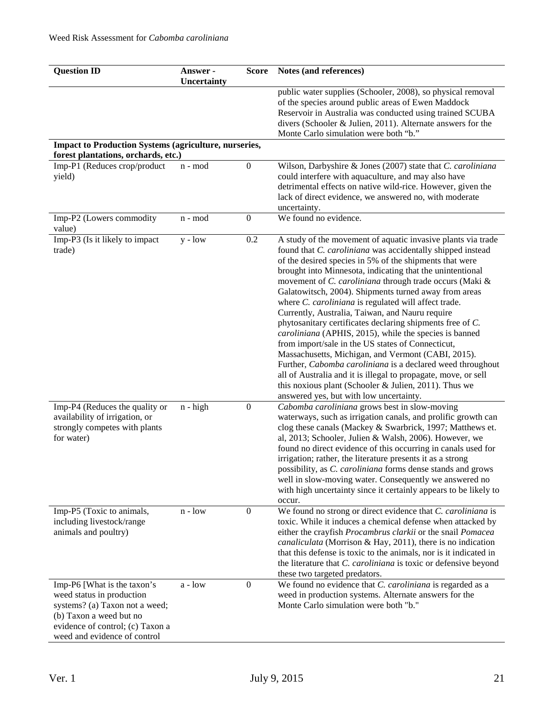| <b>Question ID</b>                                                                                                                                                                        | Answer -<br><b>Uncertainty</b> | <b>Score</b>     | Notes (and references)                                                                                                                                                                                                                                                                                                                                                                                                                                                                                                                                                                                                                                                                                                                                                                                                                                                                                                                                         |
|-------------------------------------------------------------------------------------------------------------------------------------------------------------------------------------------|--------------------------------|------------------|----------------------------------------------------------------------------------------------------------------------------------------------------------------------------------------------------------------------------------------------------------------------------------------------------------------------------------------------------------------------------------------------------------------------------------------------------------------------------------------------------------------------------------------------------------------------------------------------------------------------------------------------------------------------------------------------------------------------------------------------------------------------------------------------------------------------------------------------------------------------------------------------------------------------------------------------------------------|
|                                                                                                                                                                                           |                                |                  | public water supplies (Schooler, 2008), so physical removal<br>of the species around public areas of Ewen Maddock<br>Reservoir in Australia was conducted using trained SCUBA<br>divers (Schooler & Julien, 2011). Alternate answers for the<br>Monte Carlo simulation were both "b."                                                                                                                                                                                                                                                                                                                                                                                                                                                                                                                                                                                                                                                                          |
| <b>Impact to Production Systems (agriculture, nurseries,</b>                                                                                                                              |                                |                  |                                                                                                                                                                                                                                                                                                                                                                                                                                                                                                                                                                                                                                                                                                                                                                                                                                                                                                                                                                |
| forest plantations, orchards, etc.)                                                                                                                                                       |                                | $\boldsymbol{0}$ |                                                                                                                                                                                                                                                                                                                                                                                                                                                                                                                                                                                                                                                                                                                                                                                                                                                                                                                                                                |
| Imp-P1 (Reduces crop/product<br>yield)                                                                                                                                                    | n - mod                        |                  | Wilson, Darbyshire & Jones (2007) state that C. caroliniana<br>could interfere with aquaculture, and may also have<br>detrimental effects on native wild-rice. However, given the<br>lack of direct evidence, we answered no, with moderate<br>uncertainty.                                                                                                                                                                                                                                                                                                                                                                                                                                                                                                                                                                                                                                                                                                    |
| Imp-P2 (Lowers commodity<br>value)                                                                                                                                                        | n - mod                        | $\boldsymbol{0}$ | We found no evidence.                                                                                                                                                                                                                                                                                                                                                                                                                                                                                                                                                                                                                                                                                                                                                                                                                                                                                                                                          |
| Imp-P3 (Is it likely to impact<br>trade)                                                                                                                                                  | $y - low$                      | 0.2              | A study of the movement of aquatic invasive plants via trade<br>found that C. caroliniana was accidentally shipped instead<br>of the desired species in 5% of the shipments that were<br>brought into Minnesota, indicating that the unintentional<br>movement of C. caroliniana through trade occurs (Maki &<br>Galatowitsch, 2004). Shipments turned away from areas<br>where <i>C. caroliniana</i> is regulated will affect trade.<br>Currently, Australia, Taiwan, and Nauru require<br>phytosanitary certificates declaring shipments free of C.<br>caroliniana (APHIS, 2015), while the species is banned<br>from import/sale in the US states of Connecticut,<br>Massachusetts, Michigan, and Vermont (CABI, 2015).<br>Further, Cabomba caroliniana is a declared weed throughout<br>all of Australia and it is illegal to propagate, move, or sell<br>this noxious plant (Schooler & Julien, 2011). Thus we<br>answered yes, but with low uncertainty. |
| Imp-P4 (Reduces the quality or<br>availability of irrigation, or<br>strongly competes with plants<br>for water)                                                                           | $n - high$                     | $\boldsymbol{0}$ | Cabomba caroliniana grows best in slow-moving<br>waterways, such as irrigation canals, and prolific growth can<br>clog these canals (Mackey & Swarbrick, 1997; Matthews et.<br>al, 2013; Schooler, Julien & Walsh, 2006). However, we<br>found no direct evidence of this occurring in canals used for<br>irrigation; rather, the literature presents it as a strong<br>possibility, as C. caroliniana forms dense stands and grows<br>well in slow-moving water. Consequently we answered no<br>with high uncertainty since it certainly appears to be likely to<br>occur.                                                                                                                                                                                                                                                                                                                                                                                    |
| Imp-P5 (Toxic to animals,<br>including livestock/range<br>animals and poultry)                                                                                                            | $n - low$                      | $\boldsymbol{0}$ | We found no strong or direct evidence that C. caroliniana is<br>toxic. While it induces a chemical defense when attacked by<br>either the crayfish Procambrus clarkii or the snail Pomacea<br>canaliculata (Morrison & Hay, 2011), there is no indication<br>that this defense is toxic to the animals, nor is it indicated in<br>the literature that <i>C. caroliniana</i> is toxic or defensive beyond<br>these two targeted predators.                                                                                                                                                                                                                                                                                                                                                                                                                                                                                                                      |
| Imp-P6 [What is the taxon's<br>weed status in production<br>systems? (a) Taxon not a weed;<br>(b) Taxon a weed but no<br>evidence of control; (c) Taxon a<br>weed and evidence of control | $a - low$                      | $\mathbf{0}$     | We found no evidence that C. caroliniana is regarded as a<br>weed in production systems. Alternate answers for the<br>Monte Carlo simulation were both "b."                                                                                                                                                                                                                                                                                                                                                                                                                                                                                                                                                                                                                                                                                                                                                                                                    |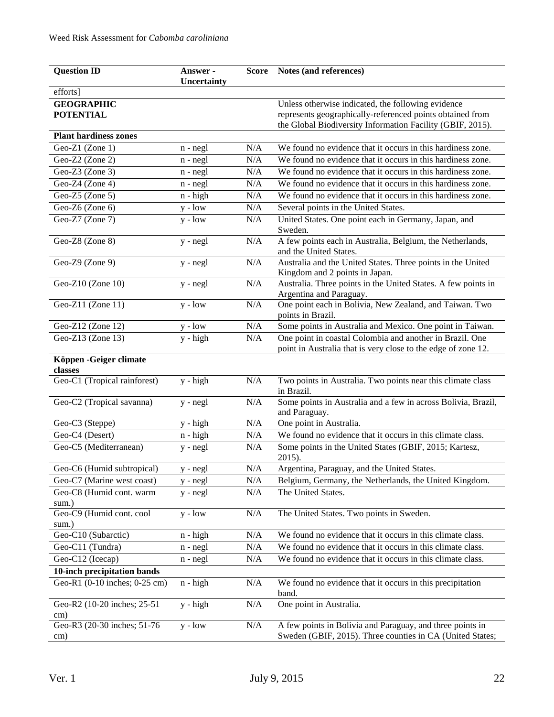| <b>Question ID</b>                    | Answer -    |                                | Score Notes (and references)                                                                                              |
|---------------------------------------|-------------|--------------------------------|---------------------------------------------------------------------------------------------------------------------------|
|                                       | Uncertainty |                                |                                                                                                                           |
| efforts]                              |             |                                |                                                                                                                           |
| <b>GEOGRAPHIC</b><br><b>POTENTIAL</b> |             |                                | Unless otherwise indicated, the following evidence<br>represents geographically-referenced points obtained from           |
|                                       |             |                                | the Global Biodiversity Information Facility (GBIF, 2015).                                                                |
| <b>Plant hardiness zones</b>          |             |                                |                                                                                                                           |
| Geo-Z1 (Zone 1)                       | n - negl    | N/A                            | We found no evidence that it occurs in this hardiness zone.                                                               |
| Geo-Z2 (Zone 2)                       | $n - negl$  | N/A                            | We found no evidence that it occurs in this hardiness zone.                                                               |
| Geo-Z3 (Zone 3)                       | $n - negl$  | N/A                            | We found no evidence that it occurs in this hardiness zone.                                                               |
| Geo-Z4 (Zone 4)                       | $n - negl$  | N/A                            | We found no evidence that it occurs in this hardiness zone.                                                               |
| Geo-Z5 (Zone 5)                       | $n - high$  | N/A                            | We found no evidence that it occurs in this hardiness zone.                                                               |
| Geo-Z6 (Zone 6)                       | $y - low$   | N/A                            | Several points in the United States.                                                                                      |
| Geo-Z7 (Zone 7)                       | $y - low$   | N/A                            | United States. One point each in Germany, Japan, and<br>Sweden.                                                           |
| Geo-Z8 (Zone 8)                       | $y - negl$  | N/A                            | A few points each in Australia, Belgium, the Netherlands,<br>and the United States.                                       |
| Geo-Z $9$ (Zone $9$ )                 | y - negl    | N/A                            | Australia and the United States. Three points in the United<br>Kingdom and 2 points in Japan.                             |
| Geo-Z10 (Zone $10$ )                  | y - negl    | N/A                            | Australia. Three points in the United States. A few points in<br>Argentina and Paraguay.                                  |
| Geo-Z11 (Zone 11)                     | $y - low$   | N/A                            | One point each in Bolivia, New Zealand, and Taiwan. Two<br>points in Brazil.                                              |
| Geo-Z12 (Zone 12)                     | $y - low$   | N/A                            | Some points in Australia and Mexico. One point in Taiwan.                                                                 |
| Geo-Z13 (Zone $13$ )                  | $y - high$  | N/A                            | One point in coastal Colombia and another in Brazil. One<br>point in Australia that is very close to the edge of zone 12. |
| Köppen - Geiger climate<br>classes    |             |                                |                                                                                                                           |
| Geo-C1 (Tropical rainforest)          | $y - high$  | N/A                            | Two points in Australia. Two points near this climate class<br>in Brazil.                                                 |
| Geo-C2 (Tropical savanna)             | y - negl    | $\rm N/A$                      | Some points in Australia and a few in across Bolivia, Brazil,<br>and Paraguay.                                            |
| Geo-C <sub>3</sub> (Steppe)           | y - high    | N/A                            | One point in Australia.                                                                                                   |
| Geo-C4 (Desert)                       | $n - high$  | N/A                            | We found no evidence that it occurs in this climate class.                                                                |
| Geo-C5 (Mediterranean)                | $y - negl$  | N/A                            | Some points in the United States (GBIF, 2015; Kartesz,<br>2015).                                                          |
| Geo-C6 (Humid subtropical)            | y - negl    | $\overline{\text{N}}/\text{A}$ | Argentina, Paraguay, and the United States.                                                                               |
| Geo-C7 (Marine west coast)            | y - negl    | N/A                            | Belgium, Germany, the Netherlands, the United Kingdom.                                                                    |
| Geo-C8 (Humid cont. warm<br>sum.)     | $y - negl$  | $\rm N/A$                      | The United States.                                                                                                        |
| Geo-C9 (Humid cont. cool              | $y - low$   | $\rm N/A$                      | The United States. Two points in Sweden.                                                                                  |
| sum.)                                 |             |                                |                                                                                                                           |
| Geo-C10 (Subarctic)                   | $n - high$  | N/A                            | We found no evidence that it occurs in this climate class.                                                                |
| Geo-C11 (Tundra)                      | $n - negl$  | $\rm N/A$                      | We found no evidence that it occurs in this climate class.                                                                |
| Geo-C12 (Icecap)                      | $n - negl$  | N/A                            | We found no evidence that it occurs in this climate class.                                                                |
| 10-inch precipitation bands           |             |                                |                                                                                                                           |
| Geo-R1 (0-10 inches; 0-25 cm)         | $n - high$  | N/A                            | We found no evidence that it occurs in this precipitation<br>band.                                                        |
| Geo-R2 (10-20 inches; 25-51<br>cm)    | $y - high$  | N/A                            | One point in Australia.                                                                                                   |
| Geo-R3 (20-30 inches; 51-76           | $y - low$   | $\rm N/A$                      | A few points in Bolivia and Paraguay, and three points in                                                                 |
| cm)                                   |             |                                | Sweden (GBIF, 2015). Three counties in CA (United States;                                                                 |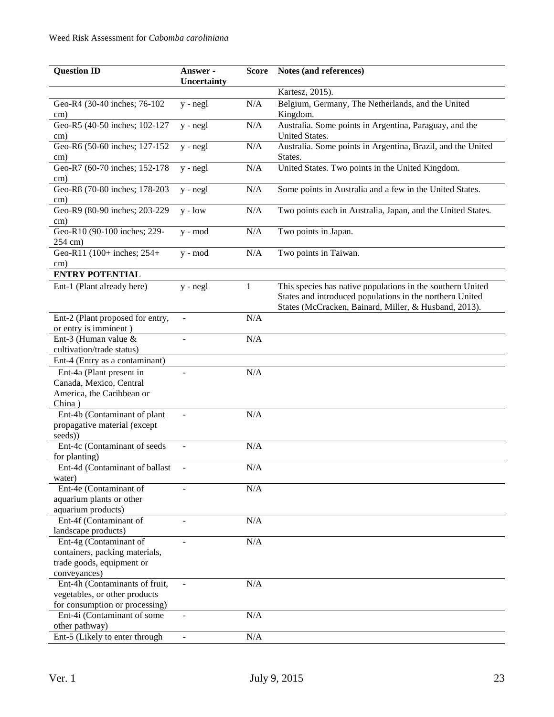| <b>Question ID</b>                                 | Answer -                     | <b>Score</b> | Notes (and references)                                                                                                                                                          |
|----------------------------------------------------|------------------------------|--------------|---------------------------------------------------------------------------------------------------------------------------------------------------------------------------------|
|                                                    | Uncertainty                  |              |                                                                                                                                                                                 |
|                                                    |                              |              | Kartesz, 2015).                                                                                                                                                                 |
| Geo-R4 (30-40 inches; 76-102<br>$\rm cm)$          | $y - negl$                   | N/A          | Belgium, Germany, The Netherlands, and the United<br>Kingdom.                                                                                                                   |
| Geo-R5 (40-50 inches; 102-127<br>$\rm cm)$         | $y - negl$                   | N/A          | Australia. Some points in Argentina, Paraguay, and the<br>United States.                                                                                                        |
| Geo-R6 (50-60 inches; 127-152                      | $y - negl$                   | N/A          | Australia. Some points in Argentina, Brazil, and the United                                                                                                                     |
| $\text{cm}$ )                                      |                              |              | States.                                                                                                                                                                         |
| Geo-R7 (60-70 inches; 152-178<br>cm)               | $y - negl$                   | N/A          | United States. Two points in the United Kingdom.                                                                                                                                |
| Geo-R8 (70-80 inches; 178-203<br>cm)               | y - negl                     | N/A          | Some points in Australia and a few in the United States.                                                                                                                        |
| Geo-R9 (80-90 inches; 203-229)                     | $y - low$                    | N/A          | Two points each in Australia, Japan, and the United States.                                                                                                                     |
| cm)                                                |                              |              |                                                                                                                                                                                 |
| Geo-R10 (90-100 inches; 229-                       | y - mod                      | N/A          | Two points in Japan.                                                                                                                                                            |
| 254 cm)<br>Geo-R11 (100+ inches; 254+              | $y - mod$                    | N/A          | Two points in Taiwan.                                                                                                                                                           |
| cm)                                                |                              |              |                                                                                                                                                                                 |
| <b>ENTRY POTENTIAL</b>                             |                              |              |                                                                                                                                                                                 |
| Ent-1 (Plant already here)                         | $y - negl$                   | 1            | This species has native populations in the southern United<br>States and introduced populations in the northern United<br>States (McCracken, Bainard, Miller, & Husband, 2013). |
| Ent-2 (Plant proposed for entry,                   |                              | N/A          |                                                                                                                                                                                 |
| or entry is imminent)                              |                              |              |                                                                                                                                                                                 |
| Ent-3 (Human value $&$                             | L,                           | N/A          |                                                                                                                                                                                 |
| cultivation/trade status)                          |                              |              |                                                                                                                                                                                 |
| Ent-4 (Entry as a contaminant)                     |                              |              |                                                                                                                                                                                 |
| Ent-4a (Plant present in                           |                              | N/A          |                                                                                                                                                                                 |
| Canada, Mexico, Central                            |                              |              |                                                                                                                                                                                 |
| America, the Caribbean or                          |                              |              |                                                                                                                                                                                 |
| China)                                             |                              |              |                                                                                                                                                                                 |
| Ent-4b (Contaminant of plant                       | $\overline{a}$               | N/A          |                                                                                                                                                                                 |
| propagative material (except                       |                              |              |                                                                                                                                                                                 |
| seeds))                                            |                              |              |                                                                                                                                                                                 |
| Ent-4c (Contaminant of seeds                       | $\overline{\phantom{m}}$     | N/A          |                                                                                                                                                                                 |
| for planting)                                      |                              |              |                                                                                                                                                                                 |
| Ent-4d (Contaminant of ballast                     | -                            | N/A          |                                                                                                                                                                                 |
| water)                                             |                              |              |                                                                                                                                                                                 |
| Ent-4e (Contaminant of<br>aquarium plants or other |                              | N/A          |                                                                                                                                                                                 |
| aquarium products)                                 |                              |              |                                                                                                                                                                                 |
| Ent-4f (Contaminant of                             |                              | N/A          |                                                                                                                                                                                 |
| landscape products)                                |                              |              |                                                                                                                                                                                 |
| Ent-4g (Contaminant of                             |                              | N/A          |                                                                                                                                                                                 |
| containers, packing materials,                     |                              |              |                                                                                                                                                                                 |
| trade goods, equipment or                          |                              |              |                                                                                                                                                                                 |
| conveyances)                                       |                              |              |                                                                                                                                                                                 |
| Ent-4h (Contaminants of fruit,                     | $\overline{a}$               | N/A          |                                                                                                                                                                                 |
| vegetables, or other products                      |                              |              |                                                                                                                                                                                 |
| for consumption or processing)                     |                              |              |                                                                                                                                                                                 |
| Ent-4i (Contaminant of some                        | $\qquad \qquad \blacksquare$ | N/A          |                                                                                                                                                                                 |
| other pathway)                                     |                              |              |                                                                                                                                                                                 |
| Ent-5 (Likely to enter through                     | $\frac{1}{2}$                | N/A          |                                                                                                                                                                                 |